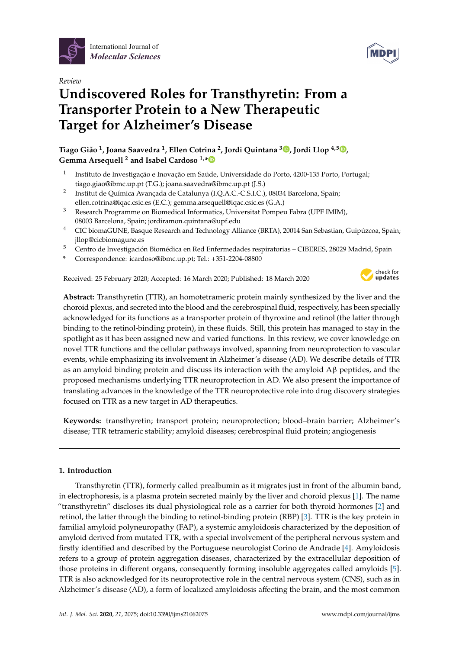



# *Review* **Undiscovered Roles for Transthyretin: From a Transporter Protein to a New Therapeutic Target for Alzheimer's Disease**

**Tiago Gião 1 , Joana Saavedra <sup>1</sup> , Ellen Cotrina <sup>2</sup> , Jordi Quintana <sup>3</sup> [,](https://orcid.org/0000-0002-7059-7418) Jordi Llop 4,5 [,](https://orcid.org/0000-0002-0821-9838) Gemma Arsequell <sup>2</sup> and Isabel Cardoso 1,[\\*](https://orcid.org/0000-0003-2472-7055)**

- 1 Instituto de Investigação e Inovação em Saúde, Universidade do Porto, 4200-135 Porto, Portugal; tiago.giao@ibmc.up.pt (T.G.); joana.saavedra@ibmc.up.pt (J.S.)
- 2 Institut de Química Avançada de Catalunya (I.Q.A.C.-C.S.I.C.), 08034 Barcelona, Spain; ellen.cotrina@iqac.csic.es (E.C.); gemma.arsequell@iqac.csic.es (G.A.)
- <sup>3</sup> Research Programme on Biomedical Informatics, Universitat Pompeu Fabra (UPF IMIM), 08003 Barcelona, Spain; jordiramon.quintana@upf.edu
- <sup>4</sup> CIC biomaGUNE, Basque Research and Technology Alliance (BRTA), 20014 San Sebastian, Guipúzcoa, Spain; jllop@cicbiomagune.es
- <sup>5</sup> Centro de Investigación Biomédica en Red Enfermedades respiratorias CIBERES, 28029 Madrid, Spain
- **\*** Correspondence: icardoso@ibmc.up.pt; Tel.: +351-2204-08800

Received: 25 February 2020; Accepted: 16 March 2020; Published: 18 March 2020



**Abstract:** Transthyretin (TTR), an homotetrameric protein mainly synthesized by the liver and the choroid plexus, and secreted into the blood and the cerebrospinal fluid, respectively, has been specially acknowledged for its functions as a transporter protein of thyroxine and retinol (the latter through binding to the retinol-binding protein), in these fluids. Still, this protein has managed to stay in the spotlight as it has been assigned new and varied functions. In this review, we cover knowledge on novel TTR functions and the cellular pathways involved, spanning from neuroprotection to vascular events, while emphasizing its involvement in Alzheimer's disease (AD). We describe details of TTR as an amyloid binding protein and discuss its interaction with the amyloid  $\mathbf{A}\beta$  peptides, and the proposed mechanisms underlying TTR neuroprotection in AD. We also present the importance of translating advances in the knowledge of the TTR neuroprotective role into drug discovery strategies focused on TTR as a new target in AD therapeutics.

**Keywords:** transthyretin; transport protein; neuroprotection; blood–brain barrier; Alzheimer's disease; TTR tetrameric stability; amyloid diseases; cerebrospinal fluid protein; angiogenesis

# **1. Introduction**

Transthyretin (TTR), formerly called prealbumin as it migrates just in front of the albumin band, in electrophoresis, is a plasma protein secreted mainly by the liver and choroid plexus [\[1\]](#page-10-0). The name "transthyretin" discloses its dual physiological role as a carrier for both thyroid hormones [\[2\]](#page-10-1) and retinol, the latter through the binding to retinol-binding protein (RBP) [\[3\]](#page-10-2). TTR is the key protein in familial amyloid polyneuropathy (FAP), a systemic amyloidosis characterized by the deposition of amyloid derived from mutated TTR, with a special involvement of the peripheral nervous system and firstly identified and described by the Portuguese neurologist Corino de Andrade [\[4\]](#page-10-3). Amyloidosis refers to a group of protein aggregation diseases, characterized by the extracellular deposition of those proteins in different organs, consequently forming insoluble aggregates called amyloids [\[5\]](#page-10-4). TTR is also acknowledged for its neuroprotective role in the central nervous system (CNS), such as in Alzheimer's disease (AD), a form of localized amyloidosis affecting the brain, and the most common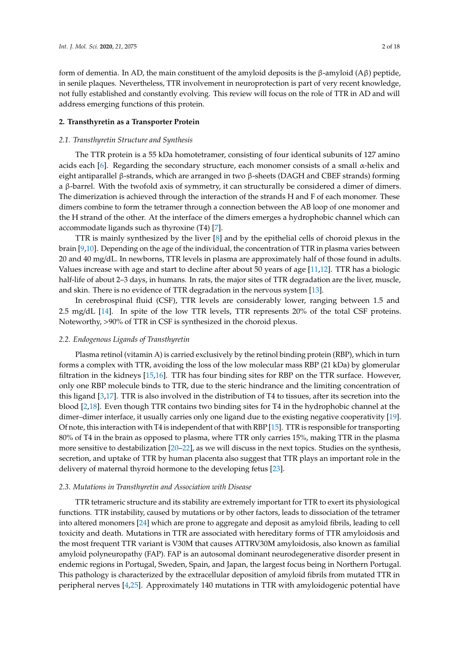form of dementia. In AD, the main constituent of the amyloid deposits is the β-amyloid (Aβ) peptide, in senile plaques. Nevertheless, TTR involvement in neuroprotection is part of very recent knowledge, not fully established and constantly evolving. This review will focus on the role of TTR in AD and will address emerging functions of this protein.

#### **2. Transthyretin as a Transporter Protein**

#### *2.1. Transthyretin Structure and Synthesis*

The TTR protein is a 55 kDa homotetramer, consisting of four identical subunits of 127 amino acids each [\[6\]](#page-11-0). Regarding the secondary structure, each monomer consists of a small  $\alpha$ -helix and eight antiparallel β-strands, which are arranged in two β-sheets (DAGH and CBEF strands) forming a β-barrel. With the twofold axis of symmetry, it can structurally be considered a dimer of dimers. The dimerization is achieved through the interaction of the strands H and F of each monomer. These dimers combine to form the tetramer through a connection between the AB loop of one monomer and the H strand of the other. At the interface of the dimers emerges a hydrophobic channel which can accommodate ligands such as thyroxine (T4) [\[7\]](#page-11-1).

TTR is mainly synthesized by the liver [\[8\]](#page-11-2) and by the epithelial cells of choroid plexus in the brain [\[9](#page-11-3)[,10\]](#page-11-4). Depending on the age of the individual, the concentration of TTR in plasma varies between 20 and 40 mg/dL. In newborns, TTR levels in plasma are approximately half of those found in adults. Values increase with age and start to decline after about 50 years of age [\[11](#page-11-5)[,12\]](#page-11-6). TTR has a biologic half-life of about 2–3 days, in humans. In rats, the major sites of TTR degradation are the liver, muscle, and skin. There is no evidence of TTR degradation in the nervous system [\[13\]](#page-11-7).

In cerebrospinal fluid (CSF), TTR levels are considerably lower, ranging between 1.5 and 2.5 mg/dL [\[14\]](#page-11-8). In spite of the low TTR levels, TTR represents 20% of the total CSF proteins. Noteworthy, >90% of TTR in CSF is synthesized in the choroid plexus.

#### *2.2. Endogenous Ligands of Transthyretin*

Plasma retinol (vitamin A) is carried exclusively by the retinol binding protein (RBP), which in turn forms a complex with TTR, avoiding the loss of the low molecular mass RBP (21 kDa) by glomerular filtration in the kidneys [\[15,](#page-11-9)[16\]](#page-11-10). TTR has four binding sites for RBP on the TTR surface. However, only one RBP molecule binds to TTR, due to the steric hindrance and the limiting concentration of this ligand [\[3,](#page-10-2)[17\]](#page-11-11). TTR is also involved in the distribution of T4 to tissues, after its secretion into the blood [\[2](#page-10-1)[,18\]](#page-11-12). Even though TTR contains two binding sites for T4 in the hydrophobic channel at the dimer–dimer interface, it usually carries only one ligand due to the existing negative cooperativity [\[19\]](#page-11-13). Of note, this interaction with T4 is independent of that with RBP [\[15\]](#page-11-9). TTR is responsible for transporting 80% of T4 in the brain as opposed to plasma, where TTR only carries 15%, making TTR in the plasma more sensitive to destabilization [\[20](#page-11-14)[–22\]](#page-11-15), as we will discuss in the next topics. Studies on the synthesis, secretion, and uptake of TTR by human placenta also suggest that TTR plays an important role in the delivery of maternal thyroid hormone to the developing fetus [\[23\]](#page-11-16).

#### *2.3. Mutations in Transthyretin and Association with Disease*

TTR tetrameric structure and its stability are extremely important for TTR to exert its physiological functions. TTR instability, caused by mutations or by other factors, leads to dissociation of the tetramer into altered monomers [\[24\]](#page-11-17) which are prone to aggregate and deposit as amyloid fibrils, leading to cell toxicity and death. Mutations in TTR are associated with hereditary forms of TTR amyloidosis and the most frequent TTR variant is V30M that causes ATTRV30M amyloidosis, also known as familial amyloid polyneuropathy (FAP). FAP is an autosomal dominant neurodegenerative disorder present in endemic regions in Portugal, Sweden, Spain, and Japan, the largest focus being in Northern Portugal. This pathology is characterized by the extracellular deposition of amyloid fibrils from mutated TTR in peripheral nerves [\[4](#page-10-3)[,25\]](#page-11-18). Approximately 140 mutations in TTR with amyloidogenic potential have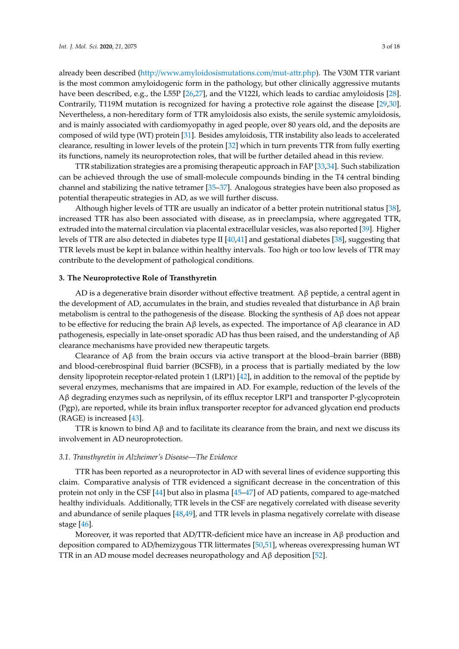already been described (http://[www.amyloidosismutations.com](http://www.amyloidosismutations.com/mut-attr.php)/mut-attr.php). The V30M TTR variant is the most common amyloidogenic form in the pathology, but other clinically aggressive mutants have been described, e.g., the L55P [\[26,](#page-11-19)[27\]](#page-11-20), and the V122I, which leads to cardiac amyloidosis [\[28\]](#page-11-21). Contrarily, T119M mutation is recognized for having a protective role against the disease [\[29,](#page-12-0)[30\]](#page-12-1). Nevertheless, a non-hereditary form of TTR amyloidosis also exists, the senile systemic amyloidosis, and is mainly associated with cardiomyopathy in aged people, over 80 years old, and the deposits are composed of wild type (WT) protein [\[31\]](#page-12-2). Besides amyloidosis, TTR instability also leads to accelerated clearance, resulting in lower levels of the protein [\[32\]](#page-12-3) which in turn prevents TTR from fully exerting its functions, namely its neuroprotection roles, that will be further detailed ahead in this review.

TTR stabilization strategies are a promising therapeutic approach in FAP [\[33](#page-12-4)[,34\]](#page-12-5). Such stabilization can be achieved through the use of small-molecule compounds binding in the T4 central binding channel and stabilizing the native tetramer [\[35](#page-12-6)[–37\]](#page-12-7). Analogous strategies have been also proposed as potential therapeutic strategies in AD, as we will further discuss.

Although higher levels of TTR are usually an indicator of a better protein nutritional status [\[38\]](#page-12-8), increased TTR has also been associated with disease, as in preeclampsia, where aggregated TTR, extruded into the maternal circulation via placental extracellular vesicles, was also reported [\[39\]](#page-12-9). Higher levels of TTR are also detected in diabetes type II [\[40](#page-12-10)[,41\]](#page-12-11) and gestational diabetes [\[38\]](#page-12-8), suggesting that TTR levels must be kept in balance within healthy intervals. Too high or too low levels of TTR may contribute to the development of pathological conditions.

#### **3. The Neuroprotective Role of Transthyretin**

AD is a degenerative brain disorder without effective treatment. Aβ peptide, a central agent in the development of AD, accumulates in the brain, and studies revealed that disturbance in  $\Lambda$ β brain metabolism is central to the pathogenesis of the disease. Blocking the synthesis of Aβ does not appear to be effective for reducing the brain A $\beta$  levels, as expected. The importance of A $\beta$  clearance in AD pathogenesis, especially in late-onset sporadic AD has thus been raised, and the understanding of  $A\beta$ clearance mechanisms have provided new therapeutic targets.

Clearance of  $\Delta\beta$  from the brain occurs via active transport at the blood–brain barrier (BBB) and blood-cerebrospinal fluid barrier (BCSFB), in a process that is partially mediated by the low density lipoprotein receptor-related protein 1 (LRP1) [\[42\]](#page-12-12), in addition to the removal of the peptide by several enzymes, mechanisms that are impaired in AD. For example, reduction of the levels of the Aβ degrading enzymes such as neprilysin, of its efflux receptor LRP1 and transporter P-glycoprotein (Pgp), are reported, while its brain influx transporter receptor for advanced glycation end products (RAGE) is increased [\[43\]](#page-12-13).

TTR is known to bind  $A\beta$  and to facilitate its clearance from the brain, and next we discuss its involvement in AD neuroprotection.

#### *3.1. Transthyretin in Alzheimer's Disease—The Evidence*

TTR has been reported as a neuroprotector in AD with several lines of evidence supporting this claim. Comparative analysis of TTR evidenced a significant decrease in the concentration of this protein not only in the CSF [\[44\]](#page-12-14) but also in plasma [\[45](#page-12-15)[–47\]](#page-13-0) of AD patients, compared to age-matched healthy individuals. Additionally, TTR levels in the CSF are negatively correlated with disease severity and abundance of senile plaques [\[48](#page-13-1)[,49\]](#page-13-2), and TTR levels in plasma negatively correlate with disease stage [\[46\]](#page-12-16).

Moreover, it was reported that AD/TTR-deficient mice have an increase in  $A\beta$  production and deposition compared to AD/hemizygous TTR littermates [\[50,](#page-13-3)[51\]](#page-13-4), whereas overexpressing human WT TTR in an AD mouse model decreases neuropathology and Aβ deposition [\[52\]](#page-13-5).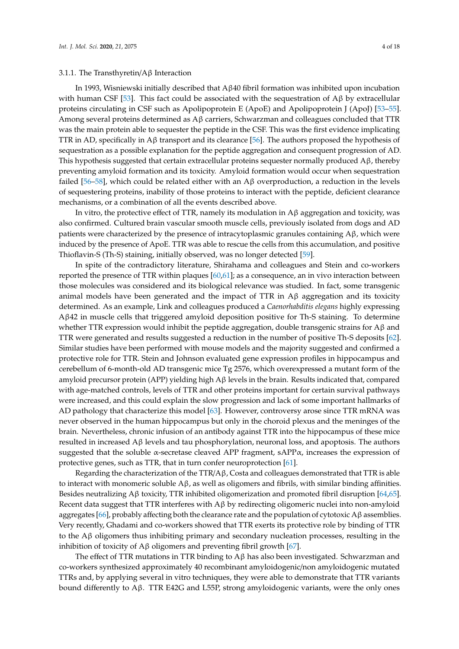In 1993, Wisniewski initially described that Aβ40 fibril formation was inhibited upon incubation with human CSF [\[53\]](#page-13-6). This fact could be associated with the sequestration of  $Aβ$  by extracellular proteins circulating in CSF such as Apolipoprotein E (ApoE) and Apolipoprotein J (ApoJ) [\[53–](#page-13-6)[55\]](#page-13-7). Among several proteins determined as Aβ carriers, Schwarzman and colleagues concluded that TTR was the main protein able to sequester the peptide in the CSF. This was the first evidence implicating TTR in AD, specifically in Aβ transport and its clearance [\[56\]](#page-13-8). The authors proposed the hypothesis of sequestration as a possible explanation for the peptide aggregation and consequent progression of AD. This hypothesis suggested that certain extracellular proteins sequester normally produced Aβ, thereby preventing amyloid formation and its toxicity. Amyloid formation would occur when sequestration failed [\[56](#page-13-8)[–58\]](#page-13-9), which could be related either with an  $\mathbf{A}\beta$  overproduction, a reduction in the levels of sequestering proteins, inability of those proteins to interact with the peptide, deficient clearance mechanisms, or a combination of all the events described above.

In vitro, the protective effect of TTR, namely its modulation in Aβ aggregation and toxicity, was also confirmed. Cultured brain vascular smooth muscle cells, previously isolated from dogs and AD patients were characterized by the presence of intracytoplasmic granules containing Aβ, which were induced by the presence of ApoE. TTR was able to rescue the cells from this accumulation, and positive Thioflavin-S (Th-S) staining, initially observed, was no longer detected [\[59\]](#page-13-10).

In spite of the contradictory literature, Shirahama and colleagues and Stein and co-workers reported the presence of TTR within plaques [\[60](#page-13-11)[,61\]](#page-13-12); as a consequence, an in vivo interaction between those molecules was considered and its biological relevance was studied. In fact, some transgenic animal models have been generated and the impact of TTR in  $\mathbf{A}\beta$  aggregation and its toxicity determined. As an example, Link and colleagues produced a *Caenorhabditis elegans* highly expressing Aβ42 in muscle cells that triggered amyloid deposition positive for Th-S staining. To determine whether TTR expression would inhibit the peptide aggregation, double transgenic strains for  $A\beta$  and TTR were generated and results suggested a reduction in the number of positive Th-S deposits [\[62\]](#page-13-13). Similar studies have been performed with mouse models and the majority suggested and confirmed a protective role for TTR. Stein and Johnson evaluated gene expression profiles in hippocampus and cerebellum of 6-month-old AD transgenic mice Tg 2576, which overexpressed a mutant form of the amyloid precursor protein (APP) yielding high Aβ levels in the brain. Results indicated that, compared with age-matched controls, levels of TTR and other proteins important for certain survival pathways were increased, and this could explain the slow progression and lack of some important hallmarks of AD pathology that characterize this model [\[63\]](#page-13-14). However, controversy arose since TTR mRNA was never observed in the human hippocampus but only in the choroid plexus and the meninges of the brain. Nevertheless, chronic infusion of an antibody against TTR into the hippocampus of these mice resulted in increased Aβ levels and tau phosphorylation, neuronal loss, and apoptosis. The authors suggested that the soluble  $\alpha$ -secretase cleaved APP fragment, sAPP $\alpha$ , increases the expression of protective genes, such as TTR, that in turn confer neuroprotection [\[61\]](#page-13-12).

Regarding the characterization of the TTR/ $\beta$ , Costa and colleagues demonstrated that TTR is able to interact with monomeric soluble Aβ, as well as oligomers and fibrils, with similar binding affinities. Besides neutralizing Aβ toxicity, TTR inhibited oligomerization and promoted fibril disruption [\[64](#page-13-15)[,65\]](#page-13-16). Recent data suggest that TTR interferes with Aβ by redirecting oligomeric nuclei into non-amyloid aggregates [\[66\]](#page-14-0), probably affecting both the clearance rate and the population of cytotoxic Aβ assemblies. Very recently, Ghadami and co-workers showed that TTR exerts its protective role by binding of TTR to the Aβ oligomers thus inhibiting primary and secondary nucleation processes, resulting in the inhibition of toxicity of Aβ oligomers and preventing fibril growth [\[67\]](#page-14-1).

The effect of TTR mutations in TTR binding to  $A\beta$  has also been investigated. Schwarzman and co-workers synthesized approximately 40 recombinant amyloidogenic/non amyloidogenic mutated TTRs and, by applying several in vitro techniques, they were able to demonstrate that TTR variants bound differently to Aβ. TTR E42G and L55P, strong amyloidogenic variants, were the only ones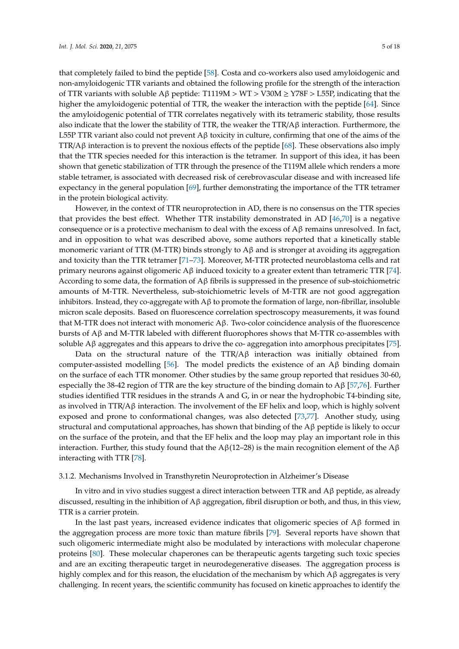that completely failed to bind the peptide [\[58\]](#page-13-9). Costa and co-workers also used amyloidogenic and non-amyloidogenic TTR variants and obtained the following profile for the strength of the interaction of TTR variants with soluble A $\beta$  peptide: T1119M > WT > V30M  $\geq$  Y78F > L55P, indicating that the higher the amyloidogenic potential of TTR, the weaker the interaction with the peptide [\[64\]](#page-13-15). Since the amyloidogenic potential of TTR correlates negatively with its tetrameric stability, those results also indicate that the lower the stability of TTR, the weaker the TTR/A $\beta$  interaction. Furthermore, the L55P TTR variant also could not prevent  $A\beta$  toxicity in culture, confirming that one of the aims of the TTR/Aβ interaction is to prevent the noxious effects of the peptide [\[68\]](#page-14-2). These observations also imply that the TTR species needed for this interaction is the tetramer. In support of this idea, it has been shown that genetic stabilization of TTR through the presence of the T119M allele which renders a more stable tetramer, is associated with decreased risk of cerebrovascular disease and with increased life expectancy in the general population [\[69\]](#page-14-3), further demonstrating the importance of the TTR tetramer in the protein biological activity.

However, in the context of TTR neuroprotection in AD, there is no consensus on the TTR species that provides the best effect. Whether TTR instability demonstrated in AD [\[46](#page-12-16)[,70\]](#page-14-4) is a negative consequence or is a protective mechanism to deal with the excess of Aβ remains unresolved. In fact, and in opposition to what was described above, some authors reported that a kinetically stable monomeric variant of TTR (M-TTR) binds strongly to  $A\beta$  and is stronger at avoiding its aggregation and toxicity than the TTR tetramer [\[71–](#page-14-5)[73\]](#page-14-6). Moreover, M-TTR protected neuroblastoma cells and rat primary neurons against oligomeric Aβ induced toxicity to a greater extent than tetrameric TTR [\[74\]](#page-14-7). According to some data, the formation of  $A\beta$  fibrils is suppressed in the presence of sub-stoichiometric amounts of M-TTR. Nevertheless, sub-stoichiometric levels of M-TTR are not good aggregation inhibitors. Instead, they co-aggregate with  $\Delta\beta$  to promote the formation of large, non-fibrillar, insoluble micron scale deposits. Based on fluorescence correlation spectroscopy measurements, it was found that M-TTR does not interact with monomeric  $\beta$ β. Two-color coincidence analysis of the fluorescence bursts of Aβ and M-TTR labeled with different fluorophores shows that M-TTR co-assembles with soluble  $\Lambda\beta$  aggregates and this appears to drive the co- aggregation into amorphous precipitates [\[75\]](#page-14-8).

Data on the structural nature of the TTR/Aβ interaction was initially obtained from computer-assisted modelling [\[56\]](#page-13-8). The model predicts the existence of an  $\Lambda$ β binding domain on the surface of each TTR monomer. Other studies by the same group reported that residues 30-60, especially the 38-42 region of TTR are the key structure of the binding domain to Aβ [\[57](#page-13-17)[,76\]](#page-14-9). Further studies identified TTR residues in the strands A and G, in or near the hydrophobic T4-binding site, as involved in TTR/A $\beta$  interaction. The involvement of the EF helix and loop, which is highly solvent exposed and prone to conformational changes, was also detected [\[73](#page-14-6)[,77\]](#page-14-10). Another study, using structural and computational approaches, has shown that binding of the  $\Lambda\beta$  peptide is likely to occur on the surface of the protein, and that the EF helix and the loop may play an important role in this interaction. Further, this study found that the Aβ(12–28) is the main recognition element of the Aβ interacting with TTR [\[78\]](#page-14-11).

#### 3.1.2. Mechanisms Involved in Transthyretin Neuroprotection in Alzheimer's Disease

In vitro and in vivo studies suggest a direct interaction between TTR and  $A\beta$  peptide, as already discussed, resulting in the inhibition of Aβ aggregation, fibril disruption or both, and thus, in this view, TTR is a carrier protein.

In the last past years, increased evidence indicates that oligomeric species of  $\mathbf{A}\beta$  formed in the aggregation process are more toxic than mature fibrils [\[79\]](#page-14-12). Several reports have shown that such oligomeric intermediate might also be modulated by interactions with molecular chaperone proteins [\[80\]](#page-14-13). These molecular chaperones can be therapeutic agents targeting such toxic species and are an exciting therapeutic target in neurodegenerative diseases. The aggregation process is highly complex and for this reason, the elucidation of the mechanism by which  $\mathbf{A}\beta$  aggregates is very challenging. In recent years, the scientific community has focused on kinetic approaches to identify the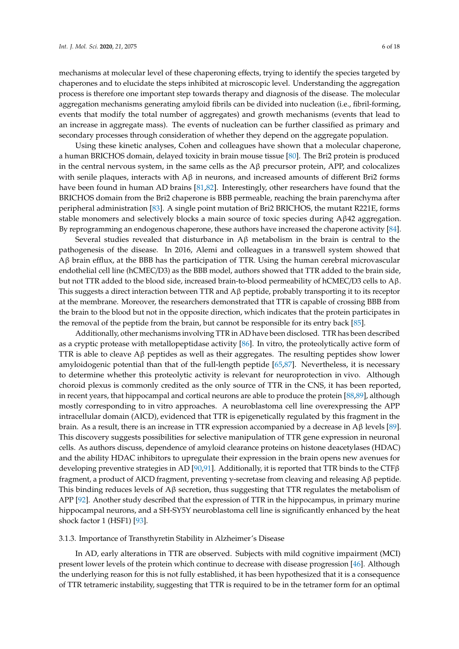mechanisms at molecular level of these chaperoning effects, trying to identify the species targeted by chaperones and to elucidate the steps inhibited at microscopic level. Understanding the aggregation process is therefore one important step towards therapy and diagnosis of the disease. The molecular aggregation mechanisms generating amyloid fibrils can be divided into nucleation (i.e., fibril-forming, events that modify the total number of aggregates) and growth mechanisms (events that lead to an increase in aggregate mass). The events of nucleation can be further classified as primary and secondary processes through consideration of whether they depend on the aggregate population.

Using these kinetic analyses, Cohen and colleagues have shown that a molecular chaperone, a human BRICHOS domain, delayed toxicity in brain mouse tissue [\[80\]](#page-14-13). The Bri2 protein is produced in the central nervous system, in the same cells as the  $A\beta$  precursor protein, APP, and colocalizes with senile plaques, interacts with  $A\beta$  in neurons, and increased amounts of different Bri2 forms have been found in human AD brains [\[81](#page-14-14)[,82\]](#page-14-15). Interestingly, other researchers have found that the BRICHOS domain from the Bri2 chaperone is BBB permeable, reaching the brain parenchyma after peripheral administration [\[83\]](#page-14-16). A single point mutation of Bri2 BRICHOS, the mutant R221E, forms stable monomers and selectively blocks a main source of toxic species during Aβ42 aggregation. By reprogramming an endogenous chaperone, these authors have increased the chaperone activity [\[84\]](#page-15-0).

Several studies revealed that disturbance in  $A\beta$  metabolism in the brain is central to the pathogenesis of the disease. In 2016, Alemi and colleagues in a transwell system showed that Aβ brain efflux, at the BBB has the participation of TTR. Using the human cerebral microvascular endothelial cell line (hCMEC/D3) as the BBB model, authors showed that TTR added to the brain side, but not TTR added to the blood side, increased brain-to-blood permeability of hCMEC/D3 cells to Aβ. This suggests a direct interaction between TTR and Aβ peptide, probably transporting it to its receptor at the membrane. Moreover, the researchers demonstrated that TTR is capable of crossing BBB from the brain to the blood but not in the opposite direction, which indicates that the protein participates in the removal of the peptide from the brain, but cannot be responsible for its entry back [\[85\]](#page-15-1).

Additionally, other mechanisms involving TTR in AD have been disclosed. TTR has been described as a cryptic protease with metallopeptidase activity [\[86\]](#page-15-2). In vitro, the proteolytically active form of TTR is able to cleave  $\mathbf{A}\beta$  peptides as well as their aggregates. The resulting peptides show lower amyloidogenic potential than that of the full-length peptide [\[65](#page-13-16)[,87\]](#page-15-3). Nevertheless, it is necessary to determine whether this proteolytic activity is relevant for neuroprotection in vivo. Although choroid plexus is commonly credited as the only source of TTR in the CNS, it has been reported, in recent years, that hippocampal and cortical neurons are able to produce the protein [\[88](#page-15-4)[,89\]](#page-15-5), although mostly corresponding to in vitro approaches. A neuroblastoma cell line overexpressing the APP intracellular domain (AICD), evidenced that TTR is epigenetically regulated by this fragment in the brain. As a result, there is an increase in TTR expression accompanied by a decrease in Aβ levels [\[89\]](#page-15-5). This discovery suggests possibilities for selective manipulation of TTR gene expression in neuronal cells. As authors discuss, dependence of amyloid clearance proteins on histone deacetylases (HDAC) and the ability HDAC inhibitors to upregulate their expression in the brain opens new avenues for developing preventive strategies in AD [\[90,](#page-15-6)[91\]](#page-15-7). Additionally, it is reported that TTR binds to the CTF $\beta$ fragment, a product of AICD fragment, preventing γ-secretase from cleaving and releasing Aβ peptide. This binding reduces levels of  $A\beta$  secretion, thus suggesting that TTR regulates the metabolism of APP [\[92\]](#page-15-8). Another study described that the expression of TTR in the hippocampus, in primary murine hippocampal neurons, and a SH-SY5Y neuroblastoma cell line is significantly enhanced by the heat shock factor 1 (HSF1) [\[93\]](#page-15-9).

#### 3.1.3. Importance of Transthyretin Stability in Alzheimer's Disease

In AD, early alterations in TTR are observed. Subjects with mild cognitive impairment (MCI) present lower levels of the protein which continue to decrease with disease progression [\[46\]](#page-12-16). Although the underlying reason for this is not fully established, it has been hypothesized that it is a consequence of TTR tetrameric instability, suggesting that TTR is required to be in the tetramer form for an optimal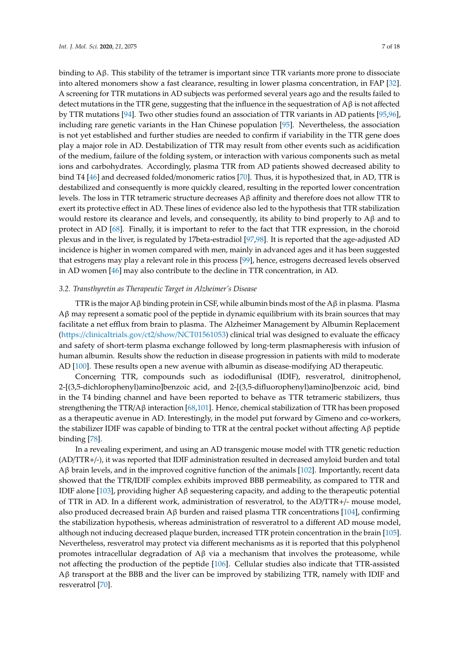binding to  $A\beta$ . This stability of the tetramer is important since TTR variants more prone to dissociate into altered monomers show a fast clearance, resulting in lower plasma concentration, in FAP [\[32\]](#page-12-3). A screening for TTR mutations in AD subjects was performed several years ago and the results failed to detect mutations in the TTR gene, suggesting that the influence in the sequestration of  $A\beta$  is not affected by TTR mutations [\[94\]](#page-15-10). Two other studies found an association of TTR variants in AD patients [\[95](#page-15-11)[,96\]](#page-15-12), including rare genetic variants in the Han Chinese population [\[95\]](#page-15-11). Nevertheless, the association is not yet established and further studies are needed to confirm if variability in the TTR gene does play a major role in AD. Destabilization of TTR may result from other events such as acidification of the medium, failure of the folding system, or interaction with various components such as metal ions and carbohydrates. Accordingly, plasma TTR from AD patients showed decreased ability to bind T4 [\[46\]](#page-12-16) and decreased folded/monomeric ratios [\[70\]](#page-14-4). Thus, it is hypothesized that, in AD, TTR is destabilized and consequently is more quickly cleared, resulting in the reported lower concentration levels. The loss in TTR tetrameric structure decreases Aβ affinity and therefore does not allow TTR to exert its protective effect in AD. These lines of evidence also led to the hypothesis that TTR stabilization would restore its clearance and levels, and consequently, its ability to bind properly to  $A\beta$  and to protect in AD [\[68\]](#page-14-2). Finally, it is important to refer to the fact that TTR expression, in the choroid plexus and in the liver, is regulated by 17beta-estradiol [\[97,](#page-15-13)[98\]](#page-15-14). It is reported that the age-adjusted AD incidence is higher in women compared with men, mainly in advanced ages and it has been suggested that estrogens may play a relevant role in this process [\[99\]](#page-15-15), hence, estrogens decreased levels observed in AD women [\[46\]](#page-12-16) may also contribute to the decline in TTR concentration, in AD.

#### *3.2. Transthyretin as Therapeutic Target in Alzheimer's Disease*

TTR is the major Aβ binding protein in CSF, while albumin binds most of the Aβ in plasma. Plasma Aβ may represent a somatic pool of the peptide in dynamic equilibrium with its brain sources that may facilitate a net efflux from brain to plasma. The Alzheimer Management by Albumin Replacement (https://[clinicaltrials.gov](https://clinicaltrials.gov/ct2/show/NCT01561053)/ct2/show/NCT01561053) clinical trial was designed to evaluate the efficacy and safety of short-term plasma exchange followed by long-term plasmapheresis with infusion of human albumin. Results show the reduction in disease progression in patients with mild to moderate AD [\[100\]](#page-15-16). These results open a new avenue with albumin as disease-modifying AD therapeutic.

Concerning TTR, compounds such as iododiflunisal (IDIF), resveratrol, dinitrophenol, 2-[(3,5-dichlorophenyl)amino]benzoic acid, and 2-[(3,5-difluorophenyl)amino]benzoic acid, bind in the T4 binding channel and have been reported to behave as TTR tetrameric stabilizers, thus strengthening the TTR/Aβ interaction [\[68,](#page-14-2)[101\]](#page-15-17). Hence, chemical stabilization of TTR has been proposed as a therapeutic avenue in AD. Interestingly, in the model put forward by Gimeno and co-workers, the stabilizer IDIF was capable of binding to TTR at the central pocket without affecting  $\beta \beta$  peptide binding [\[78\]](#page-14-11).

In a revealing experiment, and using an AD transgenic mouse model with TTR genetic reduction (AD/TTR+/-), it was reported that IDIF administration resulted in decreased amyloid burden and total Aβ brain levels, and in the improved cognitive function of the animals [\[102\]](#page-15-18). Importantly, recent data showed that the TTR/IDIF complex exhibits improved BBB permeability, as compared to TTR and IDIF alone [\[103\]](#page-16-0), providing higher Aβ sequestering capacity, and adding to the therapeutic potential of TTR in AD. In a different work, administration of resveratrol, to the AD/TTR+/- mouse model, also produced decreased brain A $\beta$  burden and raised plasma TTR concentrations [\[104\]](#page-16-1), confirming the stabilization hypothesis, whereas administration of resveratrol to a different AD mouse model, although not inducing decreased plaque burden, increased TTR protein concentration in the brain [\[105\]](#page-16-2). Nevertheless, resveratrol may protect via different mechanisms as it is reported that this polyphenol promotes intracellular degradation of Aβ via a mechanism that involves the proteasome, while not affecting the production of the peptide [\[106\]](#page-16-3). Cellular studies also indicate that TTR-assisted Aβ transport at the BBB and the liver can be improved by stabilizing TTR, namely with IDIF and resveratrol [\[70\]](#page-14-4).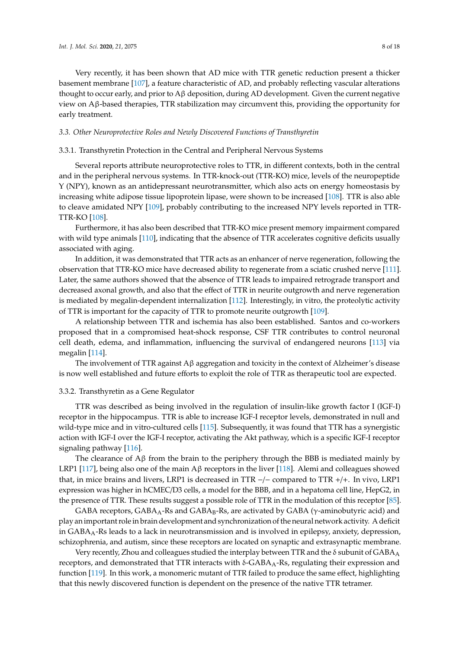Very recently, it has been shown that AD mice with TTR genetic reduction present a thicker basement membrane [\[107\]](#page-16-4), a feature characteristic of AD, and probably reflecting vascular alterations thought to occur early, and prior to A $\beta$  deposition, during AD development. Given the current negative view on Aβ-based therapies, TTR stabilization may circumvent this, providing the opportunity for early treatment.

# *3.3. Other Neuroprotective Roles and Newly Discovered Functions of Transthyretin*

# 3.3.1. Transthyretin Protection in the Central and Peripheral Nervous Systems

Several reports attribute neuroprotective roles to TTR, in different contexts, both in the central and in the peripheral nervous systems. In TTR-knock-out (TTR-KO) mice, levels of the neuropeptide Y (NPY), known as an antidepressant neurotransmitter, which also acts on energy homeostasis by increasing white adipose tissue lipoprotein lipase, were shown to be increased [\[108\]](#page-16-5). TTR is also able to cleave amidated NPY [\[109\]](#page-16-6), probably contributing to the increased NPY levels reported in TTR-TTR-KO [\[108\]](#page-16-5).

Furthermore, it has also been described that TTR-KO mice present memory impairment compared with wild type animals [\[110\]](#page-16-7), indicating that the absence of TTR accelerates cognitive deficits usually associated with aging.

In addition, it was demonstrated that TTR acts as an enhancer of nerve regeneration, following the observation that TTR-KO mice have decreased ability to regenerate from a sciatic crushed nerve [\[111\]](#page-16-8). Later, the same authors showed that the absence of TTR leads to impaired retrograde transport and decreased axonal growth, and also that the effect of TTR in neurite outgrowth and nerve regeneration is mediated by megalin-dependent internalization [\[112\]](#page-16-9). Interestingly, in vitro, the proteolytic activity of TTR is important for the capacity of TTR to promote neurite outgrowth [\[109\]](#page-16-6).

A relationship between TTR and ischemia has also been established. Santos and co-workers proposed that in a compromised heat-shock response, CSF TTR contributes to control neuronal cell death, edema, and inflammation, influencing the survival of endangered neurons [\[113\]](#page-16-10) via megalin [\[114\]](#page-16-11).

The involvement of TTR against  $A\beta$  aggregation and toxicity in the context of Alzheimer's disease is now well established and future efforts to exploit the role of TTR as therapeutic tool are expected.

# 3.3.2. Transthyretin as a Gene Regulator

TTR was described as being involved in the regulation of insulin-like growth factor I (IGF-I) receptor in the hippocampus. TTR is able to increase IGF-I receptor levels, demonstrated in null and wild-type mice and in vitro-cultured cells [\[115\]](#page-16-12). Subsequently, it was found that TTR has a synergistic action with IGF-I over the IGF-I receptor, activating the Akt pathway, which is a specific IGF-I receptor signaling pathway [\[116\]](#page-16-13).

The clearance of Aβ from the brain to the periphery through the BBB is mediated mainly by LRP1 [\[117\]](#page-16-14), being also one of the main A $\beta$  receptors in the liver [\[118\]](#page-16-15). Alemi and colleagues showed that, in mice brains and livers, LRP1 is decreased in TTR −/− compared to TTR +/+. In vivo, LRP1 expression was higher in hCMEC/D3 cells, a model for the BBB, and in a hepatoma cell line, HepG2, in the presence of TTR. These results suggest a possible role of TTR in the modulation of this receptor [\[85\]](#page-15-1).

GABA receptors,  $GABA_A$ -Rs and  $GABA_B$ -Rs, are activated by  $GABA$  ( $\gamma$ -aminobutyric acid) and play an important role in brain development and synchronization of the neural network activity. A deficit in  $GABA_A-RS$  leads to a lack in neurotransmission and is involved in epilepsy, anxiety, depression, schizophrenia, and autism, since these receptors are located on synaptic and extrasynaptic membrane.

Very recently, Zhou and colleagues studied the interplay between TTR and the  $\delta$  subunit of GABA<sub>A</sub> receptors, and demonstrated that TTR interacts with  $\delta$ -GABA<sub>A</sub>-Rs, regulating their expression and function [\[119\]](#page-16-16). In this work, a monomeric mutant of TTR failed to produce the same effect, highlighting that this newly discovered function is dependent on the presence of the native TTR tetramer.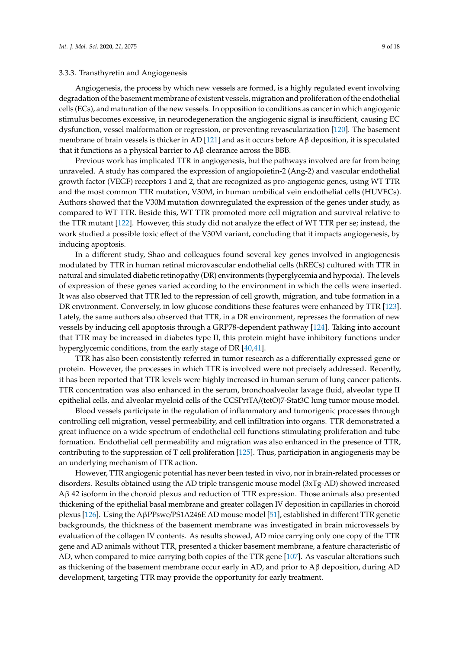#### 3.3.3. Transthyretin and Angiogenesis

Angiogenesis, the process by which new vessels are formed, is a highly regulated event involving degradation of the basement membrane of existent vessels, migration and proliferation of the endothelial cells (ECs), and maturation of the new vessels. In opposition to conditions as cancer in which angiogenic stimulus becomes excessive, in neurodegeneration the angiogenic signal is insufficient, causing EC dysfunction, vessel malformation or regression, or preventing revascularization [\[120\]](#page-16-17). The basement membrane of brain vessels is thicker in AD [\[121\]](#page-16-18) and as it occurs before  $A\beta$  deposition, it is speculated that it functions as a physical barrier to  $\beta$  clearance across the BBB.

Previous work has implicated TTR in angiogenesis, but the pathways involved are far from being unraveled. A study has compared the expression of angiopoietin-2 (Ang-2) and vascular endothelial growth factor (VEGF) receptors 1 and 2, that are recognized as pro-angiogenic genes, using WT TTR and the most common TTR mutation, V30M, in human umbilical vein endothelial cells (HUVECs). Authors showed that the V30M mutation downregulated the expression of the genes under study, as compared to WT TTR. Beside this, WT TTR promoted more cell migration and survival relative to the TTR mutant [\[122\]](#page-16-19). However, this study did not analyze the effect of WT TTR per se; instead, the work studied a possible toxic effect of the V30M variant, concluding that it impacts angiogenesis, by inducing apoptosis.

In a different study, Shao and colleagues found several key genes involved in angiogenesis modulated by TTR in human retinal microvascular endothelial cells (hRECs) cultured with TTR in natural and simulated diabetic retinopathy (DR) environments (hyperglycemia and hypoxia). The levels of expression of these genes varied according to the environment in which the cells were inserted. It was also observed that TTR led to the repression of cell growth, migration, and tube formation in a DR environment. Conversely, in low glucose conditions these features were enhanced by TTR [\[123\]](#page-16-20). Lately, the same authors also observed that TTR, in a DR environment, represses the formation of new vessels by inducing cell apoptosis through a GRP78-dependent pathway [\[124\]](#page-17-0). Taking into account that TTR may be increased in diabetes type II, this protein might have inhibitory functions under hyperglycemic conditions, from the early stage of DR [\[40](#page-12-10)[,41\]](#page-12-11).

TTR has also been consistently referred in tumor research as a differentially expressed gene or protein. However, the processes in which TTR is involved were not precisely addressed. Recently, it has been reported that TTR levels were highly increased in human serum of lung cancer patients. TTR concentration was also enhanced in the serum, bronchoalveolar lavage fluid, alveolar type II epithelial cells, and alveolar myeloid cells of the CCSPrtTA/(tetO)7-Stat3C lung tumor mouse model.

Blood vessels participate in the regulation of inflammatory and tumorigenic processes through controlling cell migration, vessel permeability, and cell infiltration into organs. TTR demonstrated a great influence on a wide spectrum of endothelial cell functions stimulating proliferation and tube formation. Endothelial cell permeability and migration was also enhanced in the presence of TTR, contributing to the suppression of T cell proliferation [\[125\]](#page-17-1). Thus, participation in angiogenesis may be an underlying mechanism of TTR action.

However, TTR angiogenic potential has never been tested in vivo, nor in brain-related processes or disorders. Results obtained using the AD triple transgenic mouse model (3xTg-AD) showed increased Aβ 42 isoform in the choroid plexus and reduction of TTR expression. Those animals also presented thickening of the epithelial basal membrane and greater collagen IV deposition in capillaries in choroid plexus [\[126\]](#page-17-2). Using the AβPPswe/PS1A246E AD mouse model [\[51\]](#page-13-4), established in different TTR genetic backgrounds, the thickness of the basement membrane was investigated in brain microvessels by evaluation of the collagen IV contents. As results showed, AD mice carrying only one copy of the TTR gene and AD animals without TTR, presented a thicker basement membrane, a feature characteristic of AD, when compared to mice carrying both copies of the TTR gene [\[107\]](#page-16-4). As vascular alterations such as thickening of the basement membrane occur early in AD, and prior to  $A\beta$  deposition, during AD development, targeting TTR may provide the opportunity for early treatment.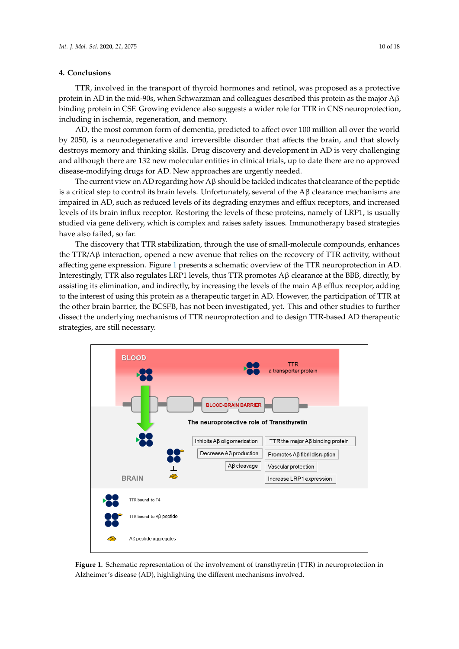#### **4. Conclusions**

TTR, involved in the transport of thyroid hormones and retinol, was proposed as a protective protein in AD in the mid-90s, when Schwarzman and colleagues described this protein as the major Aβ binding protein in CSF. Growing evidence also suggests a wider role for TTR in CNS neuroprotection, including in ischemia, regeneration, and memory. **4. Conclusions**

AD, the most common form of dementia, predicted to affect over 100 million all over the world by 2050, is a neurodegenerative and irreversible disorder that affects the brain, and that slowly destroys memory and thinking skills. Drug discovery and development in AD is very challenging and although there are 132 new molecular entities in clinical trials, up to date there are no approved disease-modifying drugs for AD. New approaches are urgently needed.  $p_r$  is a heurouegenerative and in eversione disorder that anects the brain, and that

The current view on AD regarding how A $\beta$  should be tackled indicates that clearance of the peptide is a critical step to control its brain levels. Unfortunately, several of the A $\beta$  clearance mechanisms are impaired in AD, such as reduced levels of its degrading enzymes and efflux receptors, and increased levels of its brain influx receptor. Restoring the levels of these proteins, namely of LRP1, is usually studied via gene delivery, which is complex and raises safety issues. Immunotherapy based strategies have also failed, so far. and although the control to better the clinical trials, up to clinical trials, up to data the non-

The discovery that TTR stabilization, through the use of small-molecule compounds, enhances the TTR/A $\beta$  interaction, opened a new avenue that relies on the recovery of TTR activity, without affecting gene expression. Figure 1 presents a schematic overview of the TTR neuroprotection in AD. Interestingly, TTR also regulates LRP1 levels, thus TTR promotes Aβ clearance at the BBB, directly, by assisting its elimination, and indirectly, by increasing the levels of the main Aβ efflux receptor, adding to the interest of using this protein as a therapeutic target in AD. However, the participation of TTR at the other brain barrier, the BCSFB, has not been investigated, yet. This and other studies to further dissect the underlying mechanisms of TTR neuroprotection and to design TTR-based AD therapeutic strategies, are still necessary. The underlying mechanisms of  $\mathcal{L}$  $\gamma$ Therapy also failed strategies  $\gamma$  $\alpha$  because of using the interest of using the interesting term in  $\alpha$  the participation of  $\alpha$ . However, the participation of  $\alpha$ 

<span id="page-9-0"></span>

**Figure 1.** Schematic representation of the involvement of transthyretin (TTR) in neuroprotection in **Figure 1.** Schematic representation of the involvement of transthyretin (TTR) in neuroprotection in Alzheimer's disease (AD), highlighting the different mechanisms involved. Alzheimer's disease (AD), highlighting the different mechanisms involved.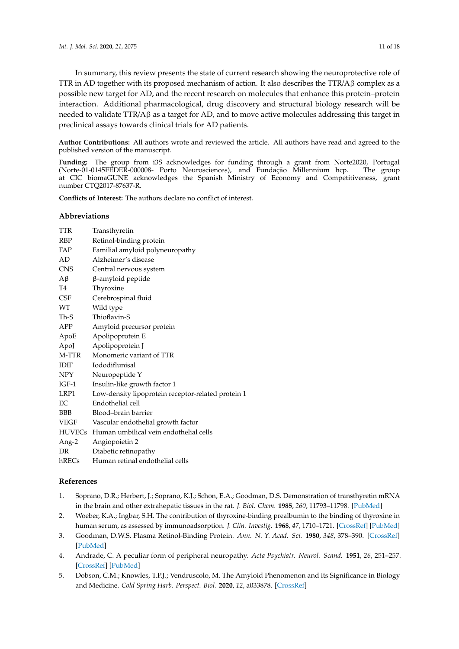In summary, this review presents the state of current research showing the neuroprotective role of TTR in AD together with its proposed mechanism of action. It also describes the TTR/A $\beta$  complex as a possible new target for AD, and the recent research on molecules that enhance this protein–protein interaction. Additional pharmacological, drug discovery and structural biology research will be needed to validate TTR/A $\beta$  as a target for AD, and to move active molecules addressing this target in preclinical assays towards clinical trials for AD patients.

**Author Contributions:** All authors wrote and reviewed the article. All authors have read and agreed to the published version of the manuscript.

**Funding:** The group from i3S acknowledges for funding through a grant from Norte2020, Portugal (Norte-01-0145FEDER-000008- Porto Neurosciences), and Fundação Millennium bcp. The group at CIC biomaGUNE acknowledges the Spanish Ministry of Economy and Competitiveness, grant number CTQ2017-87637-R.

**Conflicts of Interest:** The authors declare no conflict of interest.

# **Abbreviations**

| TTR        | Transthyretin                                      |
|------------|----------------------------------------------------|
| RBP        | Retinol-binding protein                            |
| FAP        | Familial amyloid polyneuropathy                    |
| AD         | Alzheimer's disease                                |
| <b>CNS</b> | Central nervous system                             |
| Aβ         | $\beta$ -amyloid peptide                           |
| T4         | Thyroxine                                          |
| CSF        | Cerebrospinal fluid                                |
| WТ         | Wild type                                          |
| Th-S       | Thioflavin-S                                       |
| APP        | Amyloid precursor protein                          |
| ApoE       | Apolipoprotein E                                   |
| ApoJ       | Apolipoprotein J                                   |
| M-TTR      | Monomeric variant of TTR                           |
| IDIF       | Iododiflunisal                                     |
| NPY        | Neuropeptide Y                                     |
| IGF-1      | Insulin-like growth factor 1                       |
| LRP1       | Low-density lipoprotein receptor-related protein 1 |
| ЕC         | Endothelial cell                                   |
| BBB        | Blood-brain barrier                                |
| VEGF       | Vascular endothelial growth factor                 |
|            | HUVECs Human umbilical vein endothelial cells      |
| Ang-2      | Angiopoietin 2                                     |
| DR         | Diabetic retinopathy                               |
|            |                                                    |

hRECs Human retinal endothelial cells

# **References**

- <span id="page-10-0"></span>1. Soprano, D.R.; Herbert, J.; Soprano, K.J.; Schon, E.A.; Goodman, D.S. Demonstration of transthyretin mRNA in the brain and other extrahepatic tissues in the rat. *J. Biol. Chem.* **1985**, *260*, 11793–11798. [\[PubMed\]](http://www.ncbi.nlm.nih.gov/pubmed/4044580)
- <span id="page-10-1"></span>2. Woeber, K.A.; Ingbar, S.H. The contribution of thyroxine-binding prealbumin to the binding of thyroxine in human serum, as assessed by immunoadsorption. *J. Clin. Investig.* **1968**, *47*, 1710–1721. [\[CrossRef\]](http://dx.doi.org/10.1172/JCI105861) [\[PubMed\]](http://www.ncbi.nlm.nih.gov/pubmed/4968803)
- <span id="page-10-2"></span>3. Goodman, D.W.S. Plasma Retinol-Binding Protein. *Ann. N. Y. Acad. Sci.* **1980**, *348*, 378–390. [\[CrossRef\]](http://dx.doi.org/10.1111/j.1749-6632.1980.tb21314.x) [\[PubMed\]](http://www.ncbi.nlm.nih.gov/pubmed/6994566)
- <span id="page-10-3"></span>4. Andrade, C. A peculiar form of peripheral neuropathy. *Acta Psychiatr. Neurol. Scand.* **1951**, *26*, 251–257. [\[CrossRef\]](http://dx.doi.org/10.1111/j.1600-0447.1951.tb09673.x) [\[PubMed\]](http://www.ncbi.nlm.nih.gov/pubmed/14933165)
- <span id="page-10-4"></span>5. Dobson, C.M.; Knowles, T.P.J.; Vendruscolo, M. The Amyloid Phenomenon and its Significance in Biology and Medicine. *Cold Spring Harb. Perspect. Biol.* **2020**, *12*, a033878. [\[CrossRef\]](http://dx.doi.org/10.1101/cshperspect.a033878)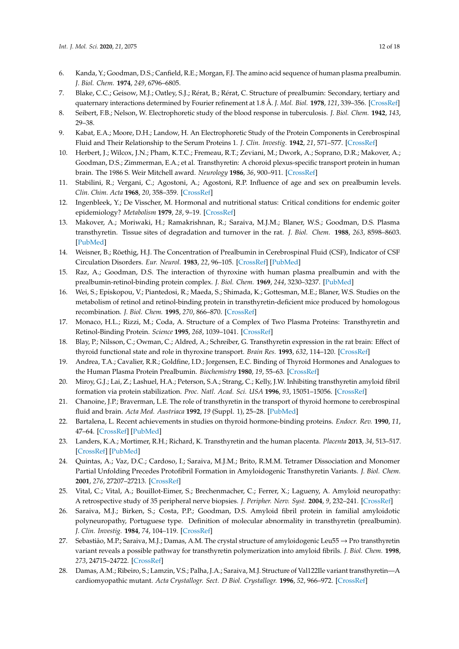- <span id="page-11-0"></span>6. Kanda, Y.; Goodman, D.S.; Canfield, R.E.; Morgan, F.J. The amino acid sequence of human plasma prealbumin. *J. Biol. Chem.* **1974**, *249*, 6796–6805.
- <span id="page-11-1"></span>7. Blake, C.C.; Geisow, M.J.; Oatley, S.J.; Rérat, B.; Rérat, C. Structure of prealbumin: Secondary, tertiary and quaternary interactions determined by Fourier refinement at 1.8 Å. *J. Mol. Biol.* **1978**, *121*, 339–356. [\[CrossRef\]](http://dx.doi.org/10.1016/0022-2836(78)90368-6)
- <span id="page-11-2"></span>8. Seibert, F.B.; Nelson, W. Electrophoretic study of the blood response in tuberculosis. *J. Biol. Chem.* **1942**, *143*, 29–38.
- <span id="page-11-3"></span>9. Kabat, E.A.; Moore, D.H.; Landow, H. An Electrophoretic Study of the Protein Components in Cerebrospinal Fluid and Their Relationship to the Serum Proteins 1. *J. Clin. Investig.* **1942**, *21*, 571–577. [\[CrossRef\]](http://dx.doi.org/10.1172/JCI101335)
- <span id="page-11-4"></span>10. Herbert, J.; Wilcox, J.N.; Pham, K.T.C.; Fremeau, R.T.; Zeviani, M.; Dwork, A.; Soprano, D.R.; Makover, A.; Goodman, D.S.; Zimmerman, E.A.; et al. Transthyretin: A choroid plexus-specific transport protein in human brain. The 1986 S. Weir Mitchell award. *Neurology* **1986**, *36*, 900–911. [\[CrossRef\]](http://dx.doi.org/10.1212/WNL.36.7.900)
- <span id="page-11-5"></span>11. Stabilini, R.; Vergani, C.; Agostoni, A.; Agostoni, R.P. Influence of age and sex on prealbumin levels. *Clin. Chim. Acta* **1968**, *20*, 358–359. [\[CrossRef\]](http://dx.doi.org/10.1016/0009-8981(68)90173-3)
- <span id="page-11-6"></span>12. Ingenbleek, Y.; De Visscher, M. Hormonal and nutritional status: Critical conditions for endemic goiter epidemiology? *Metabolism* **1979**, *28*, 9–19. [\[CrossRef\]](http://dx.doi.org/10.1016/0026-0495(79)90162-8)
- <span id="page-11-7"></span>13. Makover, A.; Moriwaki, H.; Ramakrishnan, R.; Saraiva, M.J.M.; Blaner, W.S.; Goodman, D.S. Plasma transthyretin. Tissue sites of degradation and turnover in the rat. *J. Biol. Chem.* **1988**, *263*, 8598–8603. [\[PubMed\]](http://www.ncbi.nlm.nih.gov/pubmed/3379035)
- <span id="page-11-8"></span>14. Weisner, B.; Röethig, H.J. The Concentration of Prealbumin in Cerebrospinal Fluid (CSF), Indicator of CSF Circulation Disorders. *Eur. Neurol.* **1983**, *22*, 96–105. [\[CrossRef\]](http://dx.doi.org/10.1159/000115544) [\[PubMed\]](http://www.ncbi.nlm.nih.gov/pubmed/6840150)
- <span id="page-11-9"></span>15. Raz, A.; Goodman, D.S. The interaction of thyroxine with human plasma prealbumin and with the prealbumin-retinol-binding protein complex. *J. Biol. Chem.* **1969**, *244*, 3230–3237. [\[PubMed\]](http://www.ncbi.nlm.nih.gov/pubmed/4978316)
- <span id="page-11-10"></span>16. Wei, S.; Episkopou, V.; Piantedosi, R.; Maeda, S.; Shimada, K.; Gottesman, M.E.; Blaner, W.S. Studies on the metabolism of retinol and retinol-binding protein in transthyretin-deficient mice produced by homologous recombination. *J. Biol. Chem.* **1995**, *270*, 866–870. [\[CrossRef\]](http://dx.doi.org/10.1074/jbc.270.2.866)
- <span id="page-11-11"></span>17. Monaco, H.L.; Rizzi, M.; Coda, A. Structure of a Complex of Two Plasma Proteins: Transthyretin and Retinol-Binding Protein. *Science* **1995**, *268*, 1039–1041. [\[CrossRef\]](http://dx.doi.org/10.1126/science.7754382)
- <span id="page-11-12"></span>18. Blay, P.; Nilsson, C.; Owman, C.; Aldred, A.; Schreiber, G. Transthyretin expression in the rat brain: Effect of thyroid functional state and role in thyroxine transport. *Brain Res.* **1993**, *632*, 114–120. [\[CrossRef\]](http://dx.doi.org/10.1016/0006-8993(93)91145-I)
- <span id="page-11-13"></span>19. Andrea, T.A.; Cavalier, R.R.; Goldfine, I.D.; Jorgensen, E.C. Binding of Thyroid Hormones and Analogues to the Human Plasma Protein Prealbumin. *Biochemistry* **1980**, *19*, 55–63. [\[CrossRef\]](http://dx.doi.org/10.1021/bi00542a009)
- <span id="page-11-14"></span>20. Miroy, G.J.; Lai, Z.; Lashuel, H.A.; Peterson, S.A.; Strang, C.; Kelly, J.W. Inhibiting transthyretin amyloid fibril formation via protein stabilization. *Proc. Natl. Acad. Sci. USA* **1996**, *93*, 15051–15056. [\[CrossRef\]](http://dx.doi.org/10.1073/pnas.93.26.15051)
- 21. Chanoine, J.P.; Braverman, L.E. The role of transthyretin in the transport of thyroid hormone to cerebrospinal fluid and brain. *Acta Med. Austriaca* **1992**, *19* (Suppl. 1), 25–28. [\[PubMed\]](http://www.ncbi.nlm.nih.gov/pubmed/1519447)
- <span id="page-11-15"></span>22. Bartalena, L. Recent achievements in studies on thyroid hormone-binding proteins. *Endocr. Rev.* **1990**, *11*, 47–64. [\[CrossRef\]](http://dx.doi.org/10.1210/edrv-11-1-47) [\[PubMed\]](http://www.ncbi.nlm.nih.gov/pubmed/2108013)
- <span id="page-11-16"></span>23. Landers, K.A.; Mortimer, R.H.; Richard, K. Transthyretin and the human placenta. *Placenta* **2013**, *34*, 513–517. [\[CrossRef\]](http://dx.doi.org/10.1016/j.placenta.2013.04.013) [\[PubMed\]](http://www.ncbi.nlm.nih.gov/pubmed/23664144)
- <span id="page-11-17"></span>24. Quintas, A.; Vaz, D.C.; Cardoso, I.; Saraiva, M.J.M.; Brito, R.M.M. Tetramer Dissociation and Monomer Partial Unfolding Precedes Protofibril Formation in Amyloidogenic Transthyretin Variants. *J. Biol. Chem.* **2001**, *276*, 27207–27213. [\[CrossRef\]](http://dx.doi.org/10.1074/jbc.M101024200)
- <span id="page-11-18"></span>25. Vital, C.; Vital, A.; Bouillot-Eimer, S.; Brechenmacher, C.; Ferrer, X.; Lagueny, A. Amyloid neuropathy: A retrospective study of 35 peripheral nerve biopsies. *J. Peripher. Nerv. Syst.* **2004**, *9*, 232–241. [\[CrossRef\]](http://dx.doi.org/10.1111/j.1085-9489.2004.09405.x)
- <span id="page-11-19"></span>26. Saraiva, M.J.; Birken, S.; Costa, P.P.; Goodman, D.S. Amyloid fibril protein in familial amyloidotic polyneuropathy, Portuguese type. Definition of molecular abnormality in transthyretin (prealbumin). *J. Clin. Investig.* **1984**, *74*, 104–119. [\[CrossRef\]](http://dx.doi.org/10.1172/JCI111390)
- <span id="page-11-20"></span>27. Sebastião, M.P.; Saraiva, M.J.; Damas, A.M. The crystal structure of amyloidogenic Leu55  $\rightarrow$  Pro transthyretin variant reveals a possible pathway for transthyretin polymerization into amyloid fibrils. *J. Biol. Chem.* **1998**, *273*, 24715–24722. [\[CrossRef\]](http://dx.doi.org/10.1074/jbc.273.38.24715)
- <span id="page-11-21"></span>28. Damas, A.M.; Ribeiro, S.; Lamzin, V.S.; Palha, J.A.; Saraiva, M.J. Structure of Val122Ile variant transthyretin—A cardiomyopathic mutant. *Acta Crystallogr. Sect. D Biol. Crystallogr.* **1996**, *52*, 966–972. [\[CrossRef\]](http://dx.doi.org/10.1107/S0907444996003307)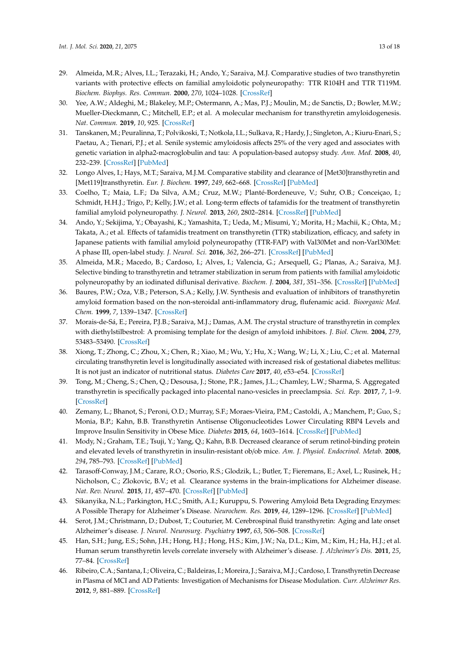- <span id="page-12-0"></span>29. Almeida, M.R.; Alves, I.L.; Terazaki, H.; Ando, Y.; Saraiva, M.J. Comparative studies of two transthyretin variants with protective effects on familial amyloidotic polyneuropathy: TTR R104H and TTR T119M. *Biochem. Biophys. Res. Commun.* **2000**, *270*, 1024–1028. [\[CrossRef\]](http://dx.doi.org/10.1006/bbrc.2000.2554)
- <span id="page-12-1"></span>30. Yee, A.W.; Aldeghi, M.; Blakeley, M.P.; Ostermann, A.; Mas, P.J.; Moulin, M.; de Sanctis, D.; Bowler, M.W.; Mueller-Dieckmann, C.; Mitchell, E.P.; et al. A molecular mechanism for transthyretin amyloidogenesis. *Nat. Commun.* **2019**, *10*, 925. [\[CrossRef\]](http://dx.doi.org/10.1038/s41467-019-08609-z)
- <span id="page-12-2"></span>31. Tanskanen, M.; Peuralinna, T.; Polvikoski, T.; Notkola, I.L.; Sulkava, R.; Hardy, J.; Singleton, A.; Kiuru-Enari, S.; Paetau, A.; Tienari, P.J.; et al. Senile systemic amyloidosis affects 25% of the very aged and associates with genetic variation in alpha2-macroglobulin and tau: A population-based autopsy study. *Ann. Med.* **2008**, *40*, 232–239. [\[CrossRef\]](http://dx.doi.org/10.1080/07853890701842988) [\[PubMed\]](http://www.ncbi.nlm.nih.gov/pubmed/18382889)
- <span id="page-12-3"></span>32. Longo Alves, I.; Hays, M.T.; Saraiva, M.J.M. Comparative stability and clearance of [Met30]transthyretin and [Met119]transthyretin. *Eur. J. Biochem.* **1997**, *249*, 662–668. [\[CrossRef\]](http://dx.doi.org/10.1111/j.1432-1033.1997.00662.x) [\[PubMed\]](http://www.ncbi.nlm.nih.gov/pubmed/9395311)
- <span id="page-12-4"></span>33. Coelho, T.; Maia, L.F.; Da Silva, A.M.; Cruz, M.W.; Planté-Bordeneuve, V.; Suhr, O.B.; Conceiçao, I.; Schmidt, H.H.J.; Trigo, P.; Kelly, J.W.; et al. Long-term effects of tafamidis for the treatment of transthyretin familial amyloid polyneuropathy. *J. Neurol.* **2013**, *260*, 2802–2814. [\[CrossRef\]](http://dx.doi.org/10.1007/s00415-013-7051-7) [\[PubMed\]](http://www.ncbi.nlm.nih.gov/pubmed/23974642)
- <span id="page-12-5"></span>34. Ando, Y.; Sekijima, Y.; Obayashi, K.; Yamashita, T.; Ueda, M.; Misumi, Y.; Morita, H.; Machii, K.; Ohta, M.; Takata, A.; et al. Effects of tafamidis treatment on transthyretin (TTR) stabilization, efficacy, and safety in Japanese patients with familial amyloid polyneuropathy (TTR-FAP) with Val30Met and non-Varl30Met: A phase III, open-label study. *J. Neurol. Sci.* **2016**, *362*, 266–271. [\[CrossRef\]](http://dx.doi.org/10.1016/j.jns.2016.01.046) [\[PubMed\]](http://www.ncbi.nlm.nih.gov/pubmed/26944161)
- <span id="page-12-6"></span>35. Almeida, M.R.; Macedo, B.; Cardoso, I.; Alves, I.; Valencia, G.; Arsequell, G.; Planas, A.; Saraiva, M.J. Selective binding to transthyretin and tetramer stabilization in serum from patients with familial amyloidotic polyneuropathy by an iodinated diflunisal derivative. *Biochem. J.* **2004**, *381*, 351–356. [\[CrossRef\]](http://dx.doi.org/10.1042/BJ20040011) [\[PubMed\]](http://www.ncbi.nlm.nih.gov/pubmed/15080795)
- 36. Baures, P.W.; Oza, V.B.; Peterson, S.A.; Kelly, J.W. Synthesis and evaluation of inhibitors of transthyretin amyloid formation based on the non-steroidal anti-inflammatory drug, flufenamic acid. *Bioorganic Med. Chem.* **1999**, *7*, 1339–1347. [\[CrossRef\]](http://dx.doi.org/10.1016/S0968-0896(99)00066-8)
- <span id="page-12-7"></span>37. Morais-de-Sá, E.; Pereira, P.J.B.; Saraiva, M.J.; Damas, A.M. The crystal structure of transthyretin in complex with diethylstilbestrol: A promising template for the design of amyloid inhibitors. *J. Biol. Chem.* **2004**, *279*, 53483–53490. [\[CrossRef\]](http://dx.doi.org/10.1074/jbc.M408053200)
- <span id="page-12-8"></span>38. Xiong, T.; Zhong, C.; Zhou, X.; Chen, R.; Xiao, M.; Wu, Y.; Hu, X.; Wang, W.; Li, X.; Liu, C.; et al. Maternal circulating transthyretin level is longitudinally associated with increased risk of gestational diabetes mellitus: It is not just an indicator of nutritional status. *Diabetes Care* **2017**, *40*, e53–e54. [\[CrossRef\]](http://dx.doi.org/10.2337/dc16-2731)
- <span id="page-12-9"></span>39. Tong, M.; Cheng, S.; Chen, Q.; Desousa, J.; Stone, P.R.; James, J.L.; Chamley, L.W.; Sharma, S. Aggregated transthyretin is specifically packaged into placental nano-vesicles in preeclampsia. *Sci. Rep.* **2017**, *7*, 1–9. [\[CrossRef\]](http://dx.doi.org/10.1038/s41598-017-07017-x)
- <span id="page-12-10"></span>40. Zemany, L.; Bhanot, S.; Peroni, O.D.; Murray, S.F.; Moraes-Vieira, P.M.; Castoldi, A.; Manchem, P.; Guo, S.; Monia, B.P.; Kahn, B.B. Transthyretin Antisense Oligonucleotides Lower Circulating RBP4 Levels and Improve Insulin Sensitivity in Obese Mice. *Diabetes* **2015**, *64*, 1603–1614. [\[CrossRef\]](http://dx.doi.org/10.2337/db14-0970) [\[PubMed\]](http://www.ncbi.nlm.nih.gov/pubmed/25524914)
- <span id="page-12-11"></span>41. Mody, N.; Graham, T.E.; Tsuji, Y.; Yang, Q.; Kahn, B.B. Decreased clearance of serum retinol-binding protein and elevated levels of transthyretin in insulin-resistant ob/ob mice. *Am. J. Physiol. Endocrinol. Metab.* **2008**, *294*, 785–793. [\[CrossRef\]](http://dx.doi.org/10.1152/ajpendo.00521.2007) [\[PubMed\]](http://www.ncbi.nlm.nih.gov/pubmed/18285525)
- <span id="page-12-12"></span>42. Tarasoff-Conway, J.M.; Carare, R.O.; Osorio, R.S.; Glodzik, L.; Butler, T.; Fieremans, E.; Axel, L.; Rusinek, H.; Nicholson, C.; Zlokovic, B.V.; et al. Clearance systems in the brain-implications for Alzheimer disease. *Nat. Rev. Neurol.* **2015**, *11*, 457–470. [\[CrossRef\]](http://dx.doi.org/10.1038/nrneurol.2015.119) [\[PubMed\]](http://www.ncbi.nlm.nih.gov/pubmed/26195256)
- <span id="page-12-13"></span>43. Sikanyika, N.L.; Parkington, H.C.; Smith, A.I.; Kuruppu, S. Powering Amyloid Beta Degrading Enzymes: A Possible Therapy for Alzheimer's Disease. *Neurochem. Res.* **2019**, *44*, 1289–1296. [\[CrossRef\]](http://dx.doi.org/10.1007/s11064-019-02756-x) [\[PubMed\]](http://www.ncbi.nlm.nih.gov/pubmed/30806879)
- <span id="page-12-14"></span>44. Serot, J.M.; Christmann, D.; Dubost, T.; Couturier, M. Cerebrospinal fluid transthyretin: Aging and late onset Alzheimer's disease. *J. Neurol. Neurosurg. Psychiatry* **1997**, *63*, 506–508. [\[CrossRef\]](http://dx.doi.org/10.1136/jnnp.63.4.506)
- <span id="page-12-15"></span>45. Han, S.H.; Jung, E.S.; Sohn, J.H.; Hong, H.J.; Hong, H.S.; Kim, J.W.; Na, D.L.; Kim, M.; Kim, H.; Ha, H.J.; et al. Human serum transthyretin levels correlate inversely with Alzheimer's disease. *J. Alzheimer's Dis.* **2011**, *25*, 77–84. [\[CrossRef\]](http://dx.doi.org/10.3233/JAD-2011-102145)
- <span id="page-12-16"></span>46. Ribeiro, C.A.; Santana, I.; Oliveira, C.; Baldeiras, I.; Moreira, J.; Saraiva, M.J.; Cardoso, I. Transthyretin Decrease in Plasma of MCI and AD Patients: Investigation of Mechanisms for Disease Modulation. *Curr. Alzheimer Res.* **2012**, *9*, 881–889. [\[CrossRef\]](http://dx.doi.org/10.2174/156720512803251057)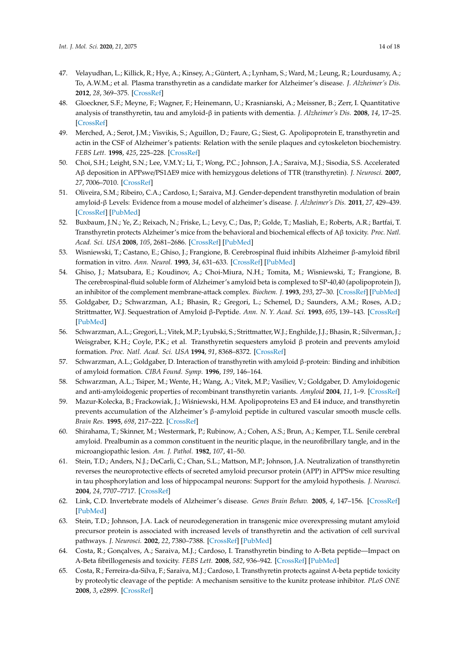- <span id="page-13-0"></span>47. Velayudhan, L.; Killick, R.; Hye, A.; Kinsey, A.; Güntert, A.; Lynham, S.; Ward, M.; Leung, R.; Lourdusamy, A.; To, A.W.M.; et al. Plasma transthyretin as a candidate marker for Alzheimer's disease. *J. Alzheimer's Dis.* **2012**, *28*, 369–375. [\[CrossRef\]](http://dx.doi.org/10.3233/JAD-2011-110611)
- <span id="page-13-1"></span>48. Gloeckner, S.F.; Meyne, F.; Wagner, F.; Heinemann, U.; Krasnianski, A.; Meissner, B.; Zerr, I. Quantitative analysis of transthyretin, tau and amyloid-β in patients with dementia. *J. Alzheimer's Dis.* **2008**, *14*, 17–25. [\[CrossRef\]](http://dx.doi.org/10.3233/JAD-2008-14102)
- <span id="page-13-2"></span>49. Merched, A.; Serot, J.M.; Visvikis, S.; Aguillon, D.; Faure, G.; Siest, G. Apolipoprotein E, transthyretin and actin in the CSF of Alzheimer's patients: Relation with the senile plaques and cytoskeleton biochemistry. *FEBS Lett.* **1998**, *425*, 225–228. [\[CrossRef\]](http://dx.doi.org/10.1016/S0014-5793(98)00234-8)
- <span id="page-13-3"></span>50. Choi, S.H.; Leight, S.N.; Lee, V.M.Y.; Li, T.; Wong, P.C.; Johnson, J.A.; Saraiva, M.J.; Sisodia, S.S. Accelerated Aβ deposition in APPswe/PS1∆E9 mice with hemizygous deletions of TTR (transthyretin). *J. Neurosci.* **2007**, *27*, 7006–7010. [\[CrossRef\]](http://dx.doi.org/10.1523/JNEUROSCI.1919-07.2007)
- <span id="page-13-4"></span>51. Oliveira, S.M.; Ribeiro, C.A.; Cardoso, I.; Saraiva, M.J. Gender-dependent transthyretin modulation of brain amyloid-β Levels: Evidence from a mouse model of alzheimer's disease. *J. Alzheimer's Dis.* **2011**, *27*, 429–439. [\[CrossRef\]](http://dx.doi.org/10.3233/JAD-2011-110488) [\[PubMed\]](http://www.ncbi.nlm.nih.gov/pubmed/21841252)
- <span id="page-13-5"></span>52. Buxbaum, J.N.; Ye, Z.; Reixach, N.; Friske, L.; Levy, C.; Das, P.; Golde, T.; Masliah, E.; Roberts, A.R.; Bartfai, T. Transthyretin protects Alzheimer's mice from the behavioral and biochemical effects of Aβ toxicity. *Proc. Natl. Acad. Sci. USA* **2008**, *105*, 2681–2686. [\[CrossRef\]](http://dx.doi.org/10.1073/pnas.0712197105) [\[PubMed\]](http://www.ncbi.nlm.nih.gov/pubmed/18272491)
- <span id="page-13-6"></span>53. Wisniewski, T.; Castano, E.; Ghiso, J.; Frangione, B. Cerebrospinal fluid inhibits Alzheimer β-amyloid fibril formation in vitro. *Ann. Neurol.* **1993**, *34*, 631–633. [\[CrossRef\]](http://dx.doi.org/10.1002/ana.410340422) [\[PubMed\]](http://www.ncbi.nlm.nih.gov/pubmed/8215255)
- 54. Ghiso, J.; Matsubara, E.; Koudinov, A.; Choi-Miura, N.H.; Tomita, M.; Wisniewski, T.; Frangione, B. The cerebrospinal-fluid soluble form of Alzheimer's amyloid beta is complexed to SP-40,40 (apolipoprotein J), an inhibitor of the complement membrane-attack complex. *Biochem. J.* **1993**, *293*, 27–30. [\[CrossRef\]](http://dx.doi.org/10.1042/bj2930027) [\[PubMed\]](http://www.ncbi.nlm.nih.gov/pubmed/8328966)
- <span id="page-13-7"></span>55. Goldgaber, D.; Schwarzman, A.I.; Bhasin, R.; Gregori, L.; Schemel, D.; Saunders, A.M.; Roses, A.D.; Strittmatter, W.J. Sequestration of Amyloid β-Peptide. *Ann. N. Y. Acad. Sci.* **1993**, *695*, 139–143. [\[CrossRef\]](http://dx.doi.org/10.1111/j.1749-6632.1993.tb23042.x) [\[PubMed\]](http://www.ncbi.nlm.nih.gov/pubmed/8239272)
- <span id="page-13-8"></span>56. Schwarzman, A.L.; Gregori, L.; Vitek, M.P.; Lyubski, S.; Strittmatter,W.J.; Enghilde, J.J.; Bhasin, R.; Silverman, J.; Weisgraber, K.H.; Coyle, P.K.; et al. Transthyretin sequesters amyloid β protein and prevents amyloid formation. *Proc. Natl. Acad. Sci. USA* **1994**, *91*, 8368–8372. [\[CrossRef\]](http://dx.doi.org/10.1073/pnas.91.18.8368)
- <span id="page-13-17"></span>57. Schwarzman, A.L.; Goldgaber, D. Interaction of transthyretin with amyloid β-protein: Binding and inhibition of amyloid formation. *CIBA Found. Symp.* **1996**, *199*, 146–164.
- <span id="page-13-9"></span>58. Schwarzman, A.L.; Tsiper, M.; Wente, H.; Wang, A.; Vitek, M.P.; Vasiliev, V.; Goldgaber, D. Amyloidogenic and anti-amyloidogenic properties of recombinant transthyretin variants. *Amyloid* **2004**, *11*, 1–9. [\[CrossRef\]](http://dx.doi.org/10.1080/13506120410001667458)
- <span id="page-13-10"></span>59. Mazur-Kolecka, B.; Frackowiak, J.; Wiśniewski, H.M. Apolipoproteins E3 and E4 induce, and transthyretin prevents accumulation of the Alzheimer's β-amyloid peptide in cultured vascular smooth muscle cells. *Brain Res.* **1995**, *698*, 217–222. [\[CrossRef\]](http://dx.doi.org/10.1016/0006-8993(95)00873-O)
- <span id="page-13-11"></span>60. Shirahama, T.; Skinner, M.; Westermark, P.; Rubinow, A.; Cohen, A.S.; Brun, A.; Kemper, T.L. Senile cerebral amyloid. Prealbumin as a common constituent in the neuritic plaque, in the neurofibrillary tangle, and in the microangiopathic lesion. *Am. J. Pathol.* **1982**, *107*, 41–50.
- <span id="page-13-12"></span>61. Stein, T.D.; Anders, N.J.; DeCarli, C.; Chan, S.L.; Mattson, M.P.; Johnson, J.A. Neutralization of transthyretin reverses the neuroprotective effects of secreted amyloid precursor protein (APP) in APPSw mice resulting in tau phosphorylation and loss of hippocampal neurons: Support for the amyloid hypothesis. *J. Neurosci.* **2004**, *24*, 7707–7717. [\[CrossRef\]](http://dx.doi.org/10.1523/JNEUROSCI.2211-04.2004)
- <span id="page-13-13"></span>62. Link, C.D. Invertebrate models of Alzheimer's disease. *Genes Brain Behav.* **2005**, *4*, 147–156. [\[CrossRef\]](http://dx.doi.org/10.1111/j.1601-183X.2004.00105.x) [\[PubMed\]](http://www.ncbi.nlm.nih.gov/pubmed/15810903)
- <span id="page-13-14"></span>63. Stein, T.D.; Johnson, J.A. Lack of neurodegeneration in transgenic mice overexpressing mutant amyloid precursor protein is associated with increased levels of transthyretin and the activation of cell survival pathways. *J. Neurosci.* **2002**, *22*, 7380–7388. [\[CrossRef\]](http://dx.doi.org/10.1523/JNEUROSCI.22-17-07380.2002) [\[PubMed\]](http://www.ncbi.nlm.nih.gov/pubmed/12196559)
- <span id="page-13-15"></span>64. Costa, R.; Gonçalves, A.; Saraiva, M.J.; Cardoso, I. Transthyretin binding to A-Beta peptide—Impact on A-Beta fibrillogenesis and toxicity. *FEBS Lett.* **2008**, *582*, 936–942. [\[CrossRef\]](http://dx.doi.org/10.1016/j.febslet.2008.02.034) [\[PubMed\]](http://www.ncbi.nlm.nih.gov/pubmed/18295603)
- <span id="page-13-16"></span>65. Costa, R.; Ferreira-da-Silva, F.; Saraiva, M.J.; Cardoso, I. Transthyretin protects against A-beta peptide toxicity by proteolytic cleavage of the peptide: A mechanism sensitive to the kunitz protease inhibitor. *PLoS ONE* **2008**, *3*, e2899. [\[CrossRef\]](http://dx.doi.org/10.1371/journal.pone.0002899)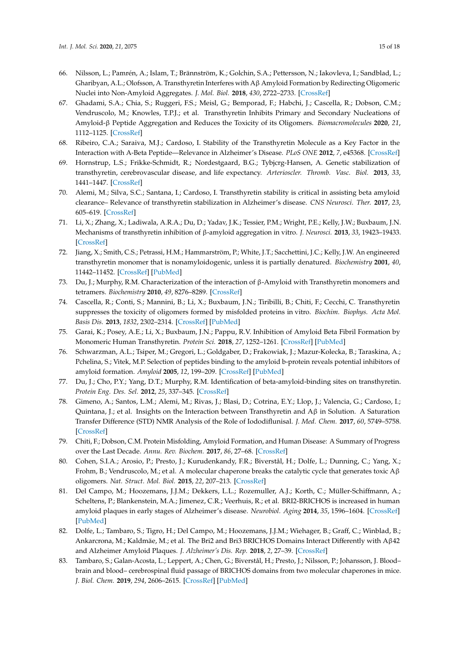- <span id="page-14-0"></span>66. Nilsson, L.; Pamrén, A.; Islam, T.; Brännström, K.; Golchin, S.A.; Pettersson, N.; Iakovleva, I.; Sandblad, L.; Gharibyan, A.L.; Olofsson, A. Transthyretin Interferes with Aβ Amyloid Formation by Redirecting Oligomeric Nuclei into Non-Amyloid Aggregates. *J. Mol. Biol.* **2018**, *430*, 2722–2733. [\[CrossRef\]](http://dx.doi.org/10.1016/j.jmb.2018.06.005)
- <span id="page-14-1"></span>67. Ghadami, S.A.; Chia, S.; Ruggeri, F.S.; Meisl, G.; Bemporad, F.; Habchi, J.; Cascella, R.; Dobson, C.M.; Vendruscolo, M.; Knowles, T.P.J.; et al. Transthyretin Inhibits Primary and Secondary Nucleations of Amyloid-β Peptide Aggregation and Reduces the Toxicity of its Oligomers. *Biomacromolecules* **2020**, *21*, 1112–1125. [\[CrossRef\]](http://dx.doi.org/10.1021/acs.biomac.9b01475)
- <span id="page-14-2"></span>68. Ribeiro, C.A.; Saraiva, M.J.; Cardoso, I. Stability of the Transthyretin Molecule as a Key Factor in the Interaction with A-Beta Peptide—Relevance in Alzheimer's Disease. *PLoS ONE* **2012**, *7*, e45368. [\[CrossRef\]](http://dx.doi.org/10.1371/journal.pone.0045368)
- <span id="page-14-3"></span>69. Hornstrup, L.S.; Frikke-Schmidt, R.; Nordestgaard, B.G.; Tybjcrg-Hansen, A. Genetic stabilization of transthyretin, cerebrovascular disease, and life expectancy. *Arterioscler. Thromb. Vasc. Biol.* **2013**, *33*, 1441–1447. [\[CrossRef\]](http://dx.doi.org/10.1161/ATVBAHA.113.301273)
- <span id="page-14-4"></span>70. Alemi, M.; Silva, S.C.; Santana, I.; Cardoso, I. Transthyretin stability is critical in assisting beta amyloid clearance– Relevance of transthyretin stabilization in Alzheimer's disease. *CNS Neurosci. Ther.* **2017**, *23*, 605–619. [\[CrossRef\]](http://dx.doi.org/10.1111/cns.12707)
- <span id="page-14-5"></span>71. Li, X.; Zhang, X.; Ladiwala, A.R.A.; Du, D.; Yadav, J.K.; Tessier, P.M.; Wright, P.E.; Kelly, J.W.; Buxbaum, J.N. Mechanisms of transthyretin inhibition of β-amyloid aggregation in vitro. *J. Neurosci.* **2013**, *33*, 19423–19433. [\[CrossRef\]](http://dx.doi.org/10.1523/JNEUROSCI.2561-13.2013)
- 72. Jiang, X.; Smith, C.S.; Petrassi, H.M.; Hammarström, P.; White, J.T.; Sacchettini, J.C.; Kelly, J.W. An engineered transthyretin monomer that is nonamyloidogenic, unless it is partially denatured. *Biochemistry* **2001**, *40*, 11442–11452. [\[CrossRef\]](http://dx.doi.org/10.1021/bi011194d) [\[PubMed\]](http://www.ncbi.nlm.nih.gov/pubmed/11560492)
- <span id="page-14-6"></span>73. Du, J.; Murphy, R.M. Characterization of the interaction of β-Amyloid with Transthyretin monomers and tetramers. *Biochemistry* **2010**, *49*, 8276–8289. [\[CrossRef\]](http://dx.doi.org/10.1021/bi101280t)
- <span id="page-14-7"></span>74. Cascella, R.; Conti, S.; Mannini, B.; Li, X.; Buxbaum, J.N.; Tiribilli, B.; Chiti, F.; Cecchi, C. Transthyretin suppresses the toxicity of oligomers formed by misfolded proteins in vitro. *Biochim. Biophys. Acta Mol. Basis Dis.* **2013**, *1832*, 2302–2314. [\[CrossRef\]](http://dx.doi.org/10.1016/j.bbadis.2013.09.011) [\[PubMed\]](http://www.ncbi.nlm.nih.gov/pubmed/24075940)
- <span id="page-14-8"></span>75. Garai, K.; Posey, A.E.; Li, X.; Buxbaum, J.N.; Pappu, R.V. Inhibition of Amyloid Beta Fibril Formation by Monomeric Human Transthyretin. *Protein Sci.* **2018**, *27*, 1252–1261. [\[CrossRef\]](http://dx.doi.org/10.1002/pro.3396) [\[PubMed\]](http://www.ncbi.nlm.nih.gov/pubmed/29498118)
- <span id="page-14-9"></span>76. Schwarzman, A.L.; Tsiper, M.; Gregori, L.; Goldgaber, D.; Frakowiak, J.; Mazur-Kolecka, B.; Taraskina, A.; Pchelina, S.; Vitek, M.P. Selection of peptides binding to the amyloid b-protein reveals potential inhibitors of amyloid formation. *Amyloid* **2005**, *12*, 199–209. [\[CrossRef\]](http://dx.doi.org/10.1080/13506120500350762) [\[PubMed\]](http://www.ncbi.nlm.nih.gov/pubmed/16399644)
- <span id="page-14-10"></span>77. Du, J.; Cho, P.Y.; Yang, D.T.; Murphy, R.M. Identification of beta-amyloid-binding sites on transthyretin. *Protein Eng. Des. Sel.* **2012**, *25*, 337–345. [\[CrossRef\]](http://dx.doi.org/10.1093/protein/gzs026)
- <span id="page-14-11"></span>78. Gimeno, A.; Santos, L.M.; Alemi, M.; Rivas, J.; Blasi, D.; Cotrina, E.Y.; Llop, J.; Valencia, G.; Cardoso, I.; Quintana, J.; et al. Insights on the Interaction between Transthyretin and  $A\beta$  in Solution. A Saturation Transfer Difference (STD) NMR Analysis of the Role of Iododiflunisal. *J. Med. Chem.* **2017**, *60*, 5749–5758. [\[CrossRef\]](http://dx.doi.org/10.1021/acs.jmedchem.7b00428)
- <span id="page-14-12"></span>79. Chiti, F.; Dobson, C.M. Protein Misfolding, Amyloid Formation, and Human Disease: A Summary of Progress over the Last Decade. *Annu. Rev. Biochem.* **2017**, *86*, 27–68. [\[CrossRef\]](http://dx.doi.org/10.1146/annurev-biochem-061516-045115)
- <span id="page-14-13"></span>80. Cohen, S.I.A.; Arosio, P.; Presto, J.; Kurudenkandy, F.R.; Biverstål, H.; Dolfe, L.; Dunning, C.; Yang, X.; Frohm, B.; Vendruscolo, M.; et al. A molecular chaperone breaks the catalytic cycle that generates toxic  $A\beta$ oligomers. *Nat. Struct. Mol. Biol.* **2015**, *22*, 207–213. [\[CrossRef\]](http://dx.doi.org/10.1038/nsmb.2971)
- <span id="page-14-14"></span>81. Del Campo, M.; Hoozemans, J.J.M.; Dekkers, L.L.; Rozemuller, A.J.; Korth, C.; Müller-Schiffmann, A.; Scheltens, P.; Blankenstein, M.A.; Jimenez, C.R.; Veerhuis, R.; et al. BRI2-BRICHOS is increased in human amyloid plaques in early stages of Alzheimer's disease. *Neurobiol. Aging* **2014**, *35*, 1596–1604. [\[CrossRef\]](http://dx.doi.org/10.1016/j.neurobiolaging.2014.01.007) [\[PubMed\]](http://www.ncbi.nlm.nih.gov/pubmed/24524963)
- <span id="page-14-15"></span>82. Dolfe, L.; Tambaro, S.; Tigro, H.; Del Campo, M.; Hoozemans, J.J.M.; Wiehager, B.; Graff, C.; Winblad, B.; Ankarcrona, M.; Kaldmäe, M.; et al. The Bri2 and Bri3 BRICHOS Domains Interact Differently with Aβ42 and Alzheimer Amyloid Plaques. *J. Alzheimer's Dis. Rep.* **2018**, *2*, 27–39. [\[CrossRef\]](http://dx.doi.org/10.3233/ADR-170051)
- <span id="page-14-16"></span>83. Tambaro, S.; Galan-Acosta, L.; Leppert, A.; Chen, G.; Biverstål, H.; Presto, J.; Nilsson, P.; Johansson, J. Blood– brain and blood– cerebrospinal fluid passage of BRICHOS domains from two molecular chaperones in mice. *J. Biol. Chem.* **2019**, *294*, 2606–2615. [\[CrossRef\]](http://dx.doi.org/10.1074/jbc.RA118.004538) [\[PubMed\]](http://www.ncbi.nlm.nih.gov/pubmed/30598503)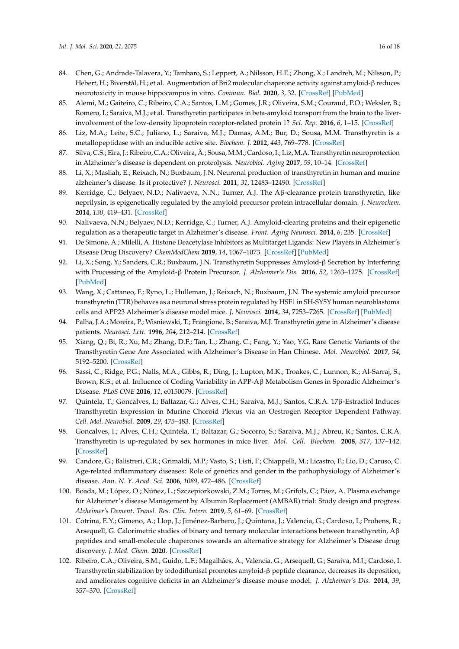- <span id="page-15-0"></span>84. Chen, G.; Andrade-Talavera, Y.; Tambaro, S.; Leppert, A.; Nilsson, H.E.; Zhong, X.; Landreh, M.; Nilsson, P.; Hebert, H.; Biverstål, H.; et al. Augmentation of Bri2 molecular chaperone activity against amyloid-β reduces neurotoxicity in mouse hippocampus in vitro. *Commun. Biol.* **2020**, *3*, 32. [\[CrossRef\]](http://dx.doi.org/10.1038/s42003-020-0757-z) [\[PubMed\]](http://www.ncbi.nlm.nih.gov/pubmed/31959875)
- <span id="page-15-1"></span>85. Alemi, M.; Gaiteiro, C.; Ribeiro, C.A.; Santos, L.M.; Gomes, J.R.; Oliveira, S.M.; Couraud, P.O.; Weksler, B.; Romero, I.; Saraiva, M.J.; et al. Transthyretin participates in beta-amyloid transport from the brain to the liverinvolvement of the low-density lipoprotein receptor-related protein 1? *Sci. Rep.* **2016**, *6*, 1–15. [\[CrossRef\]](http://dx.doi.org/10.1038/srep20164)
- <span id="page-15-2"></span>86. Liz, M.A.; Leite, S.C.; Juliano, L.; Saraiva, M.J.; Damas, A.M.; Bur, D.; Sousa, M.M. Transthyretin is a metallopeptidase with an inducible active site. *Biochem. J.* **2012**, *443*, 769–778. [\[CrossRef\]](http://dx.doi.org/10.1042/BJ20111690)
- <span id="page-15-3"></span>87. Silva, C.S.; Eira, J.; Ribeiro, C.A.; Oliveira, A.; Sousa, M.M.; Cardoso, I.; Liz, M.A. Transthyretin neuroprotection in Alzheimer's disease is dependent on proteolysis. *Neurobiol. Aging* **2017**, *59*, 10–14. [\[CrossRef\]](http://dx.doi.org/10.1016/j.neurobiolaging.2017.07.002)
- <span id="page-15-4"></span>88. Li, X.; Masliah, E.; Reixach, N.; Buxbaum, J.N. Neuronal production of transthyretin in human and murine alzheimer's disease: Is it protective? *J. Neurosci.* **2011**, *31*, 12483–12490. [\[CrossRef\]](http://dx.doi.org/10.1523/JNEUROSCI.2417-11.2011)
- <span id="page-15-5"></span>89. Kerridge, C.; Belyaev, N.D.; Nalivaeva, N.N.; Turner, A.J. The Aβ-clearance protein transthyretin, like neprilysin, is epigenetically regulated by the amyloid precursor protein intracellular domain. *J. Neurochem.* **2014**, *130*, 419–431. [\[CrossRef\]](http://dx.doi.org/10.1111/jnc.12680)
- <span id="page-15-6"></span>90. Nalivaeva, N.N.; Belyaev, N.D.; Kerridge, C.; Turner, A.J. Amyloid-clearing proteins and their epigenetic regulation as a therapeutic target in Alzheimer's disease. *Front. Aging Neurosci.* **2014**, *6*, 235. [\[CrossRef\]](http://dx.doi.org/10.3389/fnagi.2014.00235)
- <span id="page-15-7"></span>91. De Simone, A.; Milelli, A. Histone Deacetylase Inhibitors as Multitarget Ligands: New Players in Alzheimer's Disease Drug Discovery? *ChemMedChem* **2019**, *14*, 1067–1073. [\[CrossRef\]](http://dx.doi.org/10.1002/cmdc.201900174) [\[PubMed\]](http://www.ncbi.nlm.nih.gov/pubmed/30958639)
- <span id="page-15-8"></span>92. Li, X.; Song, Y.; Sanders, C.R.; Buxbaum, J.N. Transthyretin Suppresses Amyloid-β Secretion by Interfering with Processing of the Amyloid-β Protein Precursor. *J. Alzheimer's Dis.* **2016**, *52*, 1263–1275. [\[CrossRef\]](http://dx.doi.org/10.3233/JAD-160033) [\[PubMed\]](http://www.ncbi.nlm.nih.gov/pubmed/27079720)
- <span id="page-15-9"></span>93. Wang, X.; Cattaneo, F.; Ryno, L.; Hulleman, J.; Reixach, N.; Buxbaum, J.N. The systemic amyloid precursor transthyretin (TTR) behaves as a neuronal stress protein regulated by HSF1 in SH-SY5Y human neuroblastoma cells and APP23 Alzheimer's disease model mice. *J. Neurosci.* **2014**, *34*, 7253–7265. [\[CrossRef\]](http://dx.doi.org/10.1523/JNEUROSCI.4936-13.2014) [\[PubMed\]](http://www.ncbi.nlm.nih.gov/pubmed/24849358)
- <span id="page-15-10"></span>94. Palha, J.A.; Moreira, P.; Wisniewski, T.; Frangione, B.; Saraiva, M.J. Transthyretin gene in Alzheimer's disease patients. *Neurosci. Lett.* **1996**, *204*, 212–214. [\[CrossRef\]](http://dx.doi.org/10.1016/0304-3940(96)12334-X)
- <span id="page-15-11"></span>95. Xiang, Q.; Bi, R.; Xu, M.; Zhang, D.F.; Tan, L.; Zhang, C.; Fang, Y.; Yao, Y.G. Rare Genetic Variants of the Transthyretin Gene Are Associated with Alzheimer's Disease in Han Chinese. *Mol. Neurobiol.* **2017**, *54*, 5192–5200. [\[CrossRef\]](http://dx.doi.org/10.1007/s12035-016-0065-2)
- <span id="page-15-12"></span>96. Sassi, C.; Ridge, P.G.; Nalls, M.A.; Gibbs, R.; Ding, J.; Lupton, M.K.; Troakes, C.; Lunnon, K.; Al-Sarraj, S.; Brown, K.S.; et al. Influence of Coding Variability in APP-Aβ Metabolism Genes in Sporadic Alzheimer's Disease. *PLoS ONE* **2016**, *11*, e0150079. [\[CrossRef\]](http://dx.doi.org/10.1371/journal.pone.0150079)
- <span id="page-15-13"></span>97. Quintela, T.; Goncalves, I.; Baltazar, G.; Alves, C.H.; Saraiva, M.J.; Santos, C.R.A. 17β-Estradiol Induces Transthyretin Expression in Murine Choroid Plexus via an Oestrogen Receptor Dependent Pathway. *Cell. Mol. Neurobiol.* **2009**, *29*, 475–483. [\[CrossRef\]](http://dx.doi.org/10.1007/s10571-008-9339-1)
- <span id="page-15-14"></span>98. Goncalves, I.; Alves, C.H.; Quintela, T.; Baltazar, G.; Socorro, S.; Saraiva, M.J.; Abreu, R.; Santos, C.R.A. Transthyretin is up-regulated by sex hormones in mice liver. *Mol. Cell. Biochem.* **2008**, *317*, 137–142. [\[CrossRef\]](http://dx.doi.org/10.1007/s11010-008-9841-2)
- <span id="page-15-15"></span>99. Candore, G.; Balistreri, C.R.; Grimaldi, M.P.; Vasto, S.; Listi, F.; Chiappelli, M.; Licastro, F.; Lio, D.; Caruso, C. Age-related inflammatory diseases: Role of genetics and gender in the pathophysiology of Alzheimer's disease. *Ann. N. Y. Acad. Sci.* **2006**, *1089*, 472–486. [\[CrossRef\]](http://dx.doi.org/10.1196/annals.1386.008)
- <span id="page-15-16"></span>100. Boada, M.; López, O.; Núñez, L.; Szczepiorkowski, Z.M.; Torres, M.; Grifols, C.; Páez, A. Plasma exchange for Alzheimer's disease Management by Albumin Replacement (AMBAR) trial: Study design and progress. *Alzheimer's Dement. Transl. Res. Clin. Interv.* **2019**, *5*, 61–69. [\[CrossRef\]](http://dx.doi.org/10.1016/j.trci.2019.01.001)
- <span id="page-15-17"></span>101. Cotrina, E.Y.; Gimeno, A.; Llop, J.; Jiménez-Barbero, J.; Quintana, J.; Valencia, G.; Cardoso, I.; Prohens, R.; Arsequell, G. Calorimetric studies of binary and ternary molecular interactions between transthyretin,  $A\beta$ peptides and small-molecule chaperones towards an alternative strategy for Alzheimer's Disease drug discovery. *J. Med. Chem.* **2020**. [\[CrossRef\]](http://dx.doi.org/10.1021/acs.jmedchem.9b01970)
- <span id="page-15-18"></span>102. Ribeiro, C.A.; Oliveira, S.M.; Guido, L.F.; Magalhães, A.; Valencia, G.; Arsequell, G.; Saraiva, M.J.; Cardoso, I. Transthyretin stabilization by iododiflunisal promotes amyloid-β peptide clearance, decreases its deposition, and ameliorates cognitive deficits in an Alzheimer's disease mouse model. *J. Alzheimer's Dis.* **2014**, *39*, 357–370. [\[CrossRef\]](http://dx.doi.org/10.3233/JAD-131355)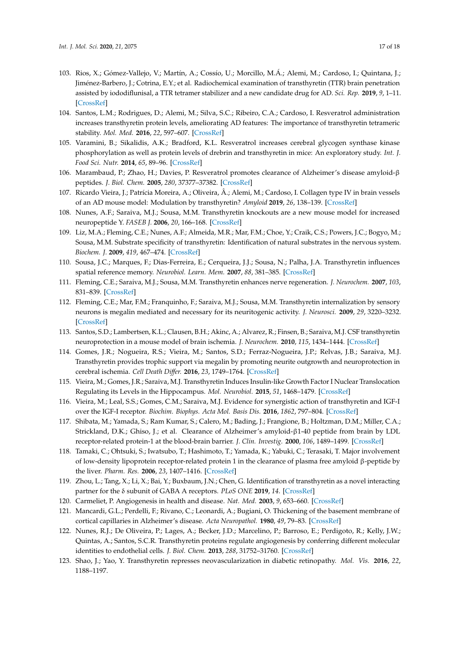- <span id="page-16-0"></span>103. Rios, X.; Gómez-Vallejo, V.; Martín, A.; Cossío, U.; Morcillo, M.Á.; Alemi, M.; Cardoso, I.; Quintana, J.; Jiménez-Barbero, J.; Cotrina, E.Y.; et al. Radiochemical examination of transthyretin (TTR) brain penetration assisted by iododiflunisal, a TTR tetramer stabilizer and a new candidate drug for AD. *Sci. Rep.* **2019**, *9*, 1–11. [\[CrossRef\]](http://dx.doi.org/10.1038/s41598-019-50071-w)
- <span id="page-16-1"></span>104. Santos, L.M.; Rodrigues, D.; Alemi, M.; Silva, S.C.; Ribeiro, C.A.; Cardoso, I. Resveratrol administration increases transthyretin protein levels, ameliorating AD features: The importance of transthyretin tetrameric stability. *Mol. Med.* **2016**, *22*, 597–607. [\[CrossRef\]](http://dx.doi.org/10.2119/molmed.2016.00124)
- <span id="page-16-2"></span>105. Varamini, B.; Sikalidis, A.K.; Bradford, K.L. Resveratrol increases cerebral glycogen synthase kinase phosphorylation as well as protein levels of drebrin and transthyretin in mice: An exploratory study. *Int. J. Food Sci. Nutr.* **2014**, *65*, 89–96. [\[CrossRef\]](http://dx.doi.org/10.3109/09637486.2013.832171)
- <span id="page-16-3"></span>106. Marambaud, P.; Zhao, H.; Davies, P. Resveratrol promotes clearance of Alzheimer's disease amyloid-β peptides. *J. Biol. Chem.* **2005**, *280*, 37377–37382. [\[CrossRef\]](http://dx.doi.org/10.1074/jbc.M508246200)
- <span id="page-16-4"></span>107. Ricardo Vieira, J.; Patrícia Moreira, A.; Oliveira, Â.; Alemi, M.; Cardoso, I. Collagen type IV in brain vessels of an AD mouse model: Modulation by transthyretin? *Amyloid* **2019**, *26*, 138–139. [\[CrossRef\]](http://dx.doi.org/10.1080/13506129.2019.1582489)
- <span id="page-16-5"></span>108. Nunes, A.F.; Saraiva, M.J.; Sousa, M.M. Transthyretin knockouts are a new mouse model for increased neuropeptide Y. *FASEB J.* **2006**, *20*, 166–168. [\[CrossRef\]](http://dx.doi.org/10.1096/fj.05-4106fje)
- <span id="page-16-6"></span>109. Liz, M.A.; Fleming, C.E.; Nunes, A.F.; Almeida, M.R.; Mar, F.M.; Choe, Y.; Craik, C.S.; Powers, J.C.; Bogyo, M.; Sousa, M.M. Substrate specificity of transthyretin: Identification of natural substrates in the nervous system. *Biochem. J.* **2009**, *419*, 467–474. [\[CrossRef\]](http://dx.doi.org/10.1042/BJ20082090)
- <span id="page-16-7"></span>110. Sousa, J.C.; Marques, F.; Dias-Ferreira, E.; Cerqueira, J.J.; Sousa, N.; Palha, J.A. Transthyretin influences spatial reference memory. *Neurobiol. Learn. Mem.* **2007**, *88*, 381–385. [\[CrossRef\]](http://dx.doi.org/10.1016/j.nlm.2007.07.006)
- <span id="page-16-8"></span>111. Fleming, C.E.; Saraiva, M.J.; Sousa, M.M. Transthyretin enhances nerve regeneration. *J. Neurochem.* **2007**, *103*, 831–839. [\[CrossRef\]](http://dx.doi.org/10.1111/j.1471-4159.2007.04828.x)
- <span id="page-16-9"></span>112. Fleming, C.E.; Mar, F.M.; Franquinho, F.; Saraiva, M.J.; Sousa, M.M. Transthyretin internalization by sensory neurons is megalin mediated and necessary for its neuritogenic activity. *J. Neurosci.* **2009**, *29*, 3220–3232. [\[CrossRef\]](http://dx.doi.org/10.1523/JNEUROSCI.6012-08.2009)
- <span id="page-16-10"></span>113. Santos, S.D.; Lambertsen, K.L.; Clausen, B.H.; Akinc, A.; Alvarez, R.; Finsen, B.; Saraiva, M.J. CSF transthyretin neuroprotection in a mouse model of brain ischemia. *J. Neurochem.* **2010**, *115*, 1434–1444. [\[CrossRef\]](http://dx.doi.org/10.1111/j.1471-4159.2010.07047.x)
- <span id="page-16-11"></span>114. Gomes, J.R.; Nogueira, R.S.; Vieira, M.; Santos, S.D.; Ferraz-Nogueira, J.P.; Relvas, J.B.; Saraiva, M.J. Transthyretin provides trophic support via megalin by promoting neurite outgrowth and neuroprotection in cerebral ischemia. *Cell Death Di*ff*er.* **2016**, *23*, 1749–1764. [\[CrossRef\]](http://dx.doi.org/10.1038/cdd.2016.64)
- <span id="page-16-12"></span>115. Vieira, M.; Gomes, J.R.; Saraiva, M.J. Transthyretin Induces Insulin-like Growth Factor I Nuclear Translocation Regulating its Levels in the Hippocampus. *Mol. Neurobiol.* **2015**, *51*, 1468–1479. [\[CrossRef\]](http://dx.doi.org/10.1007/s12035-014-8824-4)
- <span id="page-16-13"></span>116. Vieira, M.; Leal, S.S.; Gomes, C.M.; Saraiva, M.J. Evidence for synergistic action of transthyretin and IGF-I over the IGF-I receptor. *Biochim. Biophys. Acta Mol. Basis Dis.* **2016**, *1862*, 797–804. [\[CrossRef\]](http://dx.doi.org/10.1016/j.bbadis.2016.01.008)
- <span id="page-16-14"></span>117. Shibata, M.; Yamada, S.; Ram Kumar, S.; Calero, M.; Bading, J.; Frangione, B.; Holtzman, D.M.; Miller, C.A.; Strickland, D.K.; Ghiso, J.; et al. Clearance of Alzheimer's amyloid-β1-40 peptide from brain by LDL receptor-related protein-1 at the blood-brain barrier. *J. Clin. Investig.* **2000**, *106*, 1489–1499. [\[CrossRef\]](http://dx.doi.org/10.1172/JCI10498)
- <span id="page-16-15"></span>118. Tamaki, C.; Ohtsuki, S.; Iwatsubo, T.; Hashimoto, T.; Yamada, K.; Yabuki, C.; Terasaki, T. Major involvement of low-density lipoprotein receptor-related protein 1 in the clearance of plasma free amyloid β-peptide by the liver. *Pharm. Res.* **2006**, *23*, 1407–1416. [\[CrossRef\]](http://dx.doi.org/10.1007/s11095-006-0208-7)
- <span id="page-16-16"></span>119. Zhou, L.; Tang, X.; Li, X.; Bai, Y.; Buxbaum, J.N.; Chen, G. Identification of transthyretin as a novel interacting partner for the δ subunit of GABA A receptors. *PLoS ONE* **2019**, *14*. [\[CrossRef\]](http://dx.doi.org/10.1371/journal.pone.0210094)
- <span id="page-16-17"></span>120. Carmeliet, P. Angiogenesis in health and disease. *Nat. Med.* **2003**, *9*, 653–660. [\[CrossRef\]](http://dx.doi.org/10.1038/nm0603-653)
- <span id="page-16-18"></span>121. Mancardi, G.L.; Perdelli, F.; Rivano, C.; Leonardi, A.; Bugiani, O. Thickening of the basement membrane of cortical capillaries in Alzheimer's disease. *Acta Neuropathol.* **1980**, *49*, 79–83. [\[CrossRef\]](http://dx.doi.org/10.1007/BF00692225)
- <span id="page-16-19"></span>122. Nunes, R.J.; De Oliveira, P.; Lages, A.; Becker, J.D.; Marcelino, P.; Barroso, E.; Perdigoto, R.; Kelly, J.W.; Quintas, A.; Santos, S.C.R. Transthyretin proteins regulate angiogenesis by conferring different molecular identities to endothelial cells. *J. Biol. Chem.* **2013**, *288*, 31752–31760. [\[CrossRef\]](http://dx.doi.org/10.1074/jbc.M113.469858)
- <span id="page-16-20"></span>123. Shao, J.; Yao, Y. Transthyretin represses neovascularization in diabetic retinopathy. *Mol. Vis.* **2016**, *22*, 1188–1197.